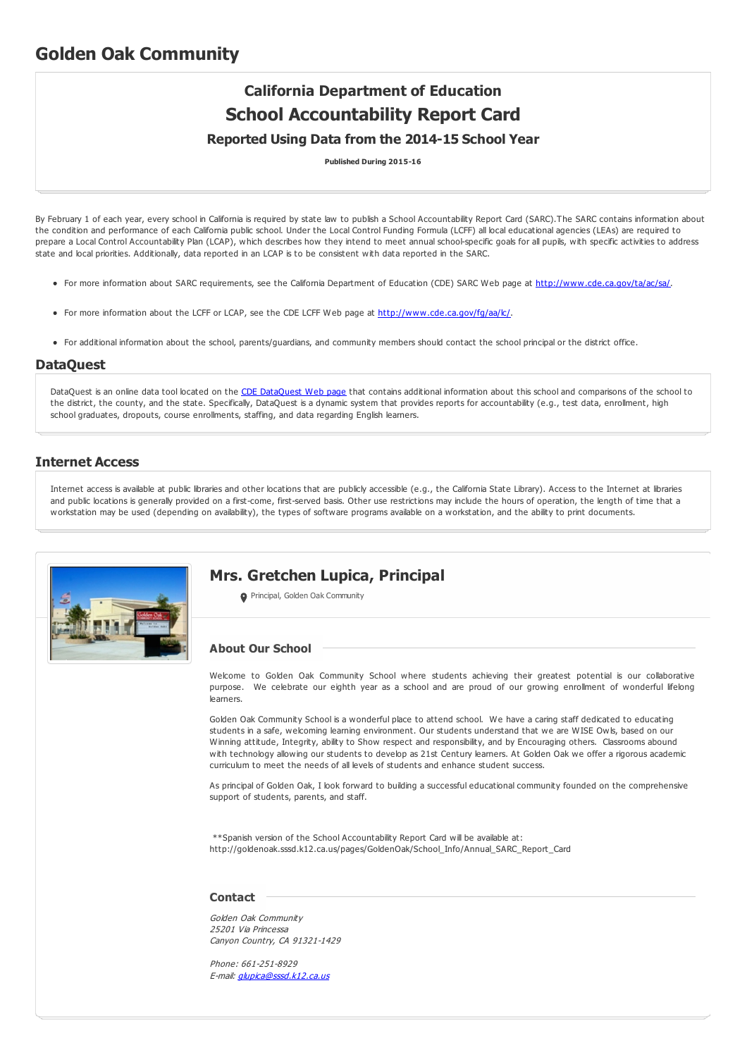# **Golden Oak Community**

# **California Department of Education School Accountability Report Card**

#### **Reported Using Data from the 2014-15 School Year**

**Published During 2015-16**

By February 1 of each year, every school in California is required by state law to publish a School Accountability Report Card (SARC). The SARC contains information about the condition and performance of each California public school. Under the Local Control Funding Formula (LCFF) all local educational agencies (LEAs) are required to prepare a Local Control Accountability Plan (LCAP), which describes how they intend to meet annual school-specific goals for all pupils, with specific activities to address state and local priorities. Additionally, data reported in an LCAP is to be consistent with data reported in the SARC.

- For more information about SARC requirements, see the California Department of Education (CDE) SARC Web page at <http://www.cde.ca.gov/ta/ac/sa/>.
- For more information about the LCFF or LCAP, see the CDE LCFF Web page at <http://www.cde.ca.gov/fg/aa/lc/>.
- For additional information about the school, parents/guardians, and community members should contact the school principal or the district office.

#### **DataQuest**

[DataQuest](http://dq.cde.ca.gov/dataquest/) is an online data tool located on the CDE DataQuest Web page that contains additional information about this school and comparisons of the school to the district, the county, and the state. Specifically, DataQuest is a dynamic system that provides reports for accountability (e.g., test data, enrollment, high school graduates, dropouts, course enrollments, staffing, and data regarding English learners.

#### **Internet Access**

Internet access is available at public libraries and other locations that are publicly accessible (e.g., the California State Library). Access to the Internet at libraries and public locations is generally provided on a first-come, first-served basis. Other use restrictions may include the hours of operation, the length of time that a workstation may be used (depending on availability), the types of software programs available on a workstation, and the ability to print documents.



# **Mrs. Gretchen Lupica, Principal**

**Principal, Golden Oak Community** 

#### **About Our School**

Welcome to Golden Oak Community School where students achieving their greatest potential is our collaborative purpose. We celebrate our eighth year as a school and are proud of our growing enrollment of wonderful lifelong learners.

Golden Oak Community School is a wonderful place to attend school. We have a caring staff dedicated to educating students in a safe, welcoming learning environment. Our students understand that we are WISE Owls, based on our Winning attitude, Integrity, ability to Show respect and responsibility, and by Encouraging others. Classrooms abound with technology allowing our students to develop as 21st Century learners. At Golden Oak we offer a rigorous academic curriculum to meet the needs of all levels of students and enhance student success.

As principal of Golden Oak, I look forward to building a successful educational community founded on the comprehensive support of students, parents, and staff.

\*\*Spanish version of the School Accountability Report Card will be available at: http://goldenoak.sssd.k12.ca.us/pages/GoldenOak/School\_Info/Annual\_SARC\_Report\_Card

#### **Contact**

Golden Oak Community 25201 Via Princessa Canyon Country, CA 91321-1429

Phone: 661-251-8929 E-mail: [glupica@sssd.k12.ca.us](mailto:glupica@sssd.k12.ca.us)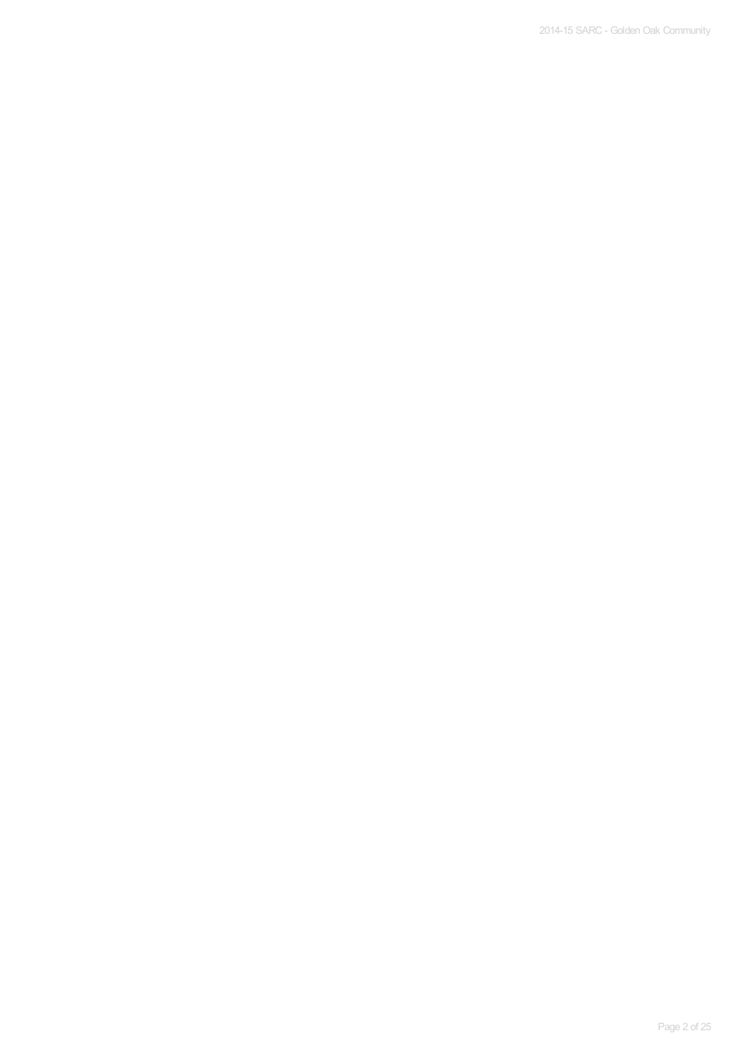2014-15 SARC - Golden Oak Community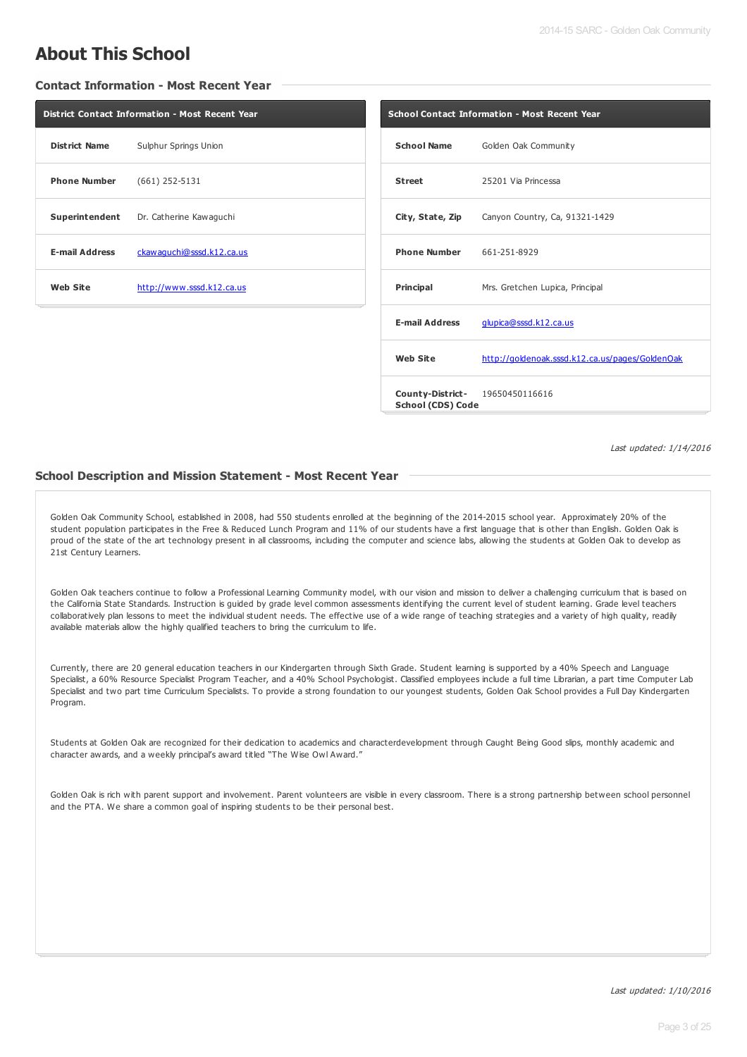# **About This School**

#### **Contact Information - Most Recent Year**

|                       | <b>District Contact Information - Most Recent Year</b> | Scho       |
|-----------------------|--------------------------------------------------------|------------|
| <b>District Name</b>  | Sulphur Springs Union                                  | Scl        |
| <b>Phone Number</b>   | $(661)$ 252-5131                                       | <b>Sti</b> |
|                       | <b>Superintendent</b> Dr. Catherine Kawaguchi          | Cit        |
| <b>E-mail Address</b> | ckawaquchi@sssd.k12.ca.us                              | Ph         |
| Web Site              | http://www.sssd.k12.ca.us                              | Pri        |
|                       |                                                        |            |

| <b>School Contact Information - Most Recent Year</b>        |                                                 |  |  |  |  |
|-------------------------------------------------------------|-------------------------------------------------|--|--|--|--|
|                                                             | School Name Golden Oak Community                |  |  |  |  |
| <b>Street</b>                                               | 25201 Via Princessa                             |  |  |  |  |
|                                                             | City, State, Zip Canyon Country, Ca, 91321-1429 |  |  |  |  |
| <b>Phone Number</b> 661-251-8929                            |                                                 |  |  |  |  |
| Principal                                                   | Mrs. Gretchen Lupica, Principal                 |  |  |  |  |
| <b>E-mail Address</b>                                       | glupica@sssd.k12.ca.us                          |  |  |  |  |
| Web Site                                                    | http://goldenoak.sssd.k12.ca.us/pages/GoldenOak |  |  |  |  |
| <b>County-District-</b> 19650450116616<br>School (CDS) Code |                                                 |  |  |  |  |

Last updated: 1/14/2016

#### **School Description and Mission Statement - Most Recent Year**

Golden Oak Community School, established in 2008, had 550 students enrolled at the beginning of the 2014-2015 school year. Approximately 20% of the student population participates in the Free & Reduced Lunch Program and 11% of our students have a first language that is other than English. Golden Oak is proud of the state of the art technology present in all classrooms, including the computer and science labs, allowing the students at Golden Oak to develop as 21st Century Learners.

Golden Oak teachers continue to follow a Professional Learning Community model, with our vision and mission to deliver a challenging curriculum that is based on the California State Standards. Instruction is guided by grade level common assessments identifying the current level of student learning. Grade level teachers collaboratively plan lessons to meet the individual student needs. The effective use of a wide range of teaching strategies and a variety of high quality, readily available materials allow the highly qualified teachers to bring the curriculum to life.

Currently, there are 20 general education teachers in our Kindergarten through Sixth Grade. Student learning is supported by a 40% Speech and Language Specialist, a 60% Resource Specialist Program Teacher, and a 40% School Psychologist. Classified employees include a full time Librarian, a part time Computer Lab Specialist and two part time Curriculum Specialists. To provide a strong foundation to our youngest students, Golden Oak School provides a Full Day Kindergarten Program.

Students at Golden Oak are recognized for their dedication to academics and characterdevelopment through Caught Being Good slips, monthly academic and character awards, and a weekly principal's award titled "The Wise Owl Award."

Golden Oak is rich with parent support and involvement. Parent volunteers are visible in every classroom. There is a strong partnership between school personnel and the PTA. We share a common goal of inspiring students to be their personal best.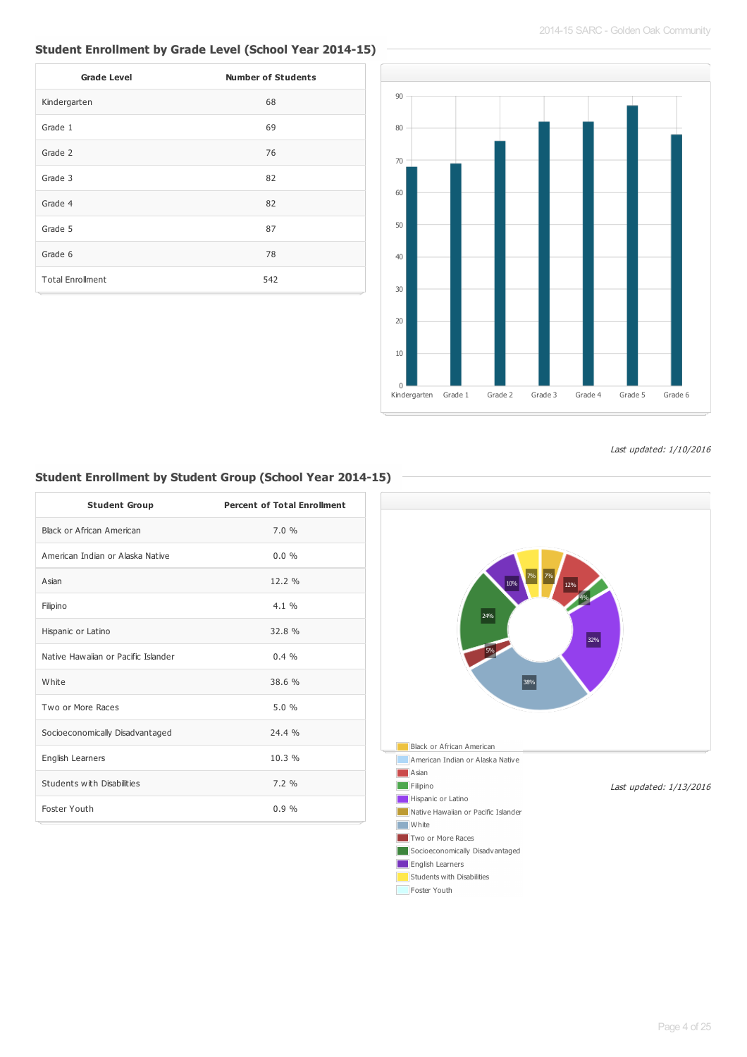## **Student Enrollment by Grade Level (School Year 2014-15)**

| <b>Grade Level</b>      | <b>Number of Students</b> |
|-------------------------|---------------------------|
| Kindergarten            | 68                        |
| Grade 1                 | 69                        |
| Grade 2                 | 76                        |
| Grade 3                 | 82                        |
| Grade 4                 | 82                        |
| Grade 5                 | 87                        |
| Grade 6                 | 78                        |
| <b>Total Enrollment</b> | 542                       |



Last updated: 1/10/2016

## **Student Enrollment by Student Group (School Year 2014-15)**

| <b>Student Group</b>                | <b>Percent of Total Enrollment</b> |
|-------------------------------------|------------------------------------|
| Black or African American           | 7.0%                               |
| American Indian or Alaska Native    | $0.0\%$                            |
| Asian                               | 12.2%                              |
| Filipino                            | 4.1%                               |
| Hispanic or Latino                  | 32.8%                              |
| Native Hawaiian or Pacific Islander | 0.4%                               |
| White                               | 38.6 %                             |
| Two or More Races                   | 5.0%                               |
| Socioeconomically Disadvantaged     | 24.4%                              |
| English Learners                    | 10.3%                              |
| Students with Disabilities          | 7.2%                               |
| Foster Youth                        | 0.9%                               |

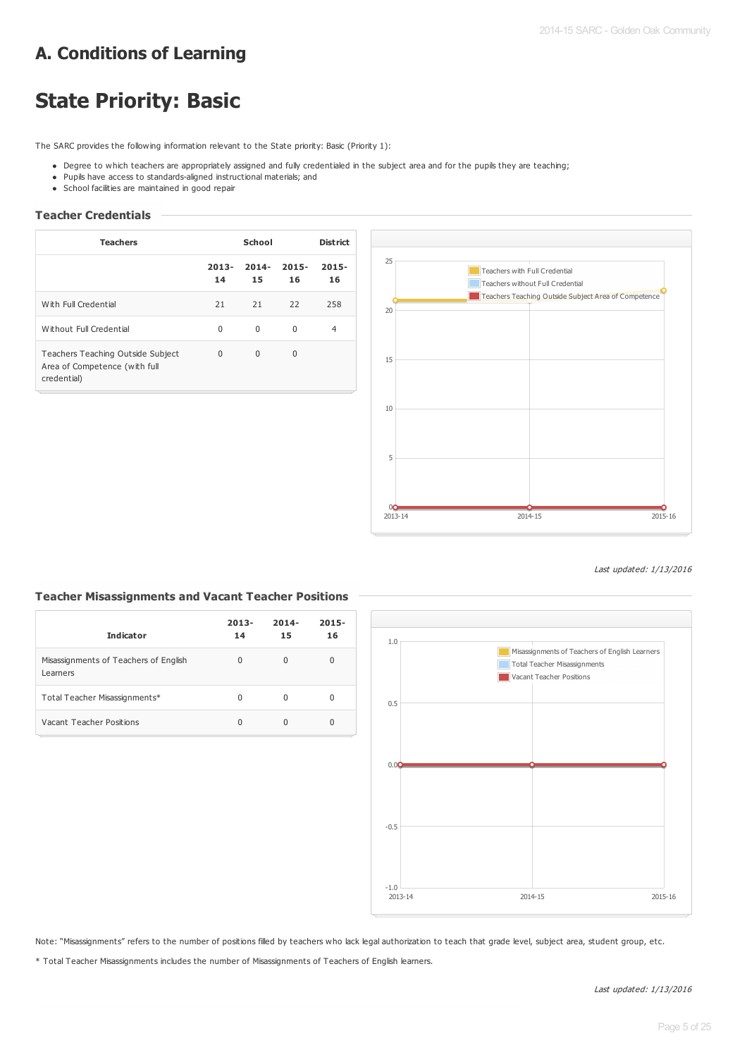# **A. Conditions of Learning**

# **State Priority: Basic**

The SARC provides the following information relevant to the State priority: Basic (Priority 1):

- Degree to which teachers are appropriately assigned and fully credentialed in the subject area and for the pupils they are teaching;
- Pupils have access to standards-aligned instructional materials; and
- School facilities are maintained in good repair

### **Teacher Credentials**

| <b>Teachers</b>                                                                   |                | School         |                | <b>District</b> |
|-----------------------------------------------------------------------------------|----------------|----------------|----------------|-----------------|
|                                                                                   | $2013 -$<br>14 | $2014 -$<br>15 | $2015 -$<br>16 | $2015 -$<br>16  |
| With Full Credential                                                              | 21             | 21             | 22             | 258             |
| Without Full Credential                                                           | $\Omega$       | $\Omega$       | 0              | 4               |
| Teachers Teaching Outside Subject<br>Area of Competence (with full<br>credential) | $\Omega$       | $\Omega$       | $\Omega$       |                 |



Last updated: 1/13/2016

### **Teacher Misassignments and Vacant Teacher Positions**

| <b>Indicator</b>                                  | $2013 -$<br>14 | $2014 -$<br>15 | $2015 -$<br>16 |
|---------------------------------------------------|----------------|----------------|----------------|
| Misassignments of Teachers of English<br>Learners | 0              | 0              | 0              |
| Total Teacher Misassignments*                     | 0              | 0              | 0              |
| Vacant Teacher Positions                          | U              | 0              | 0              |



Note: "Misassignments" refers to the number of positions filled by teachers who lack legal authorization to teach that grade level, subject area, student group, etc.

\* Total Teacher Misassignments includes the number of Misassignments of Teachers of English learners.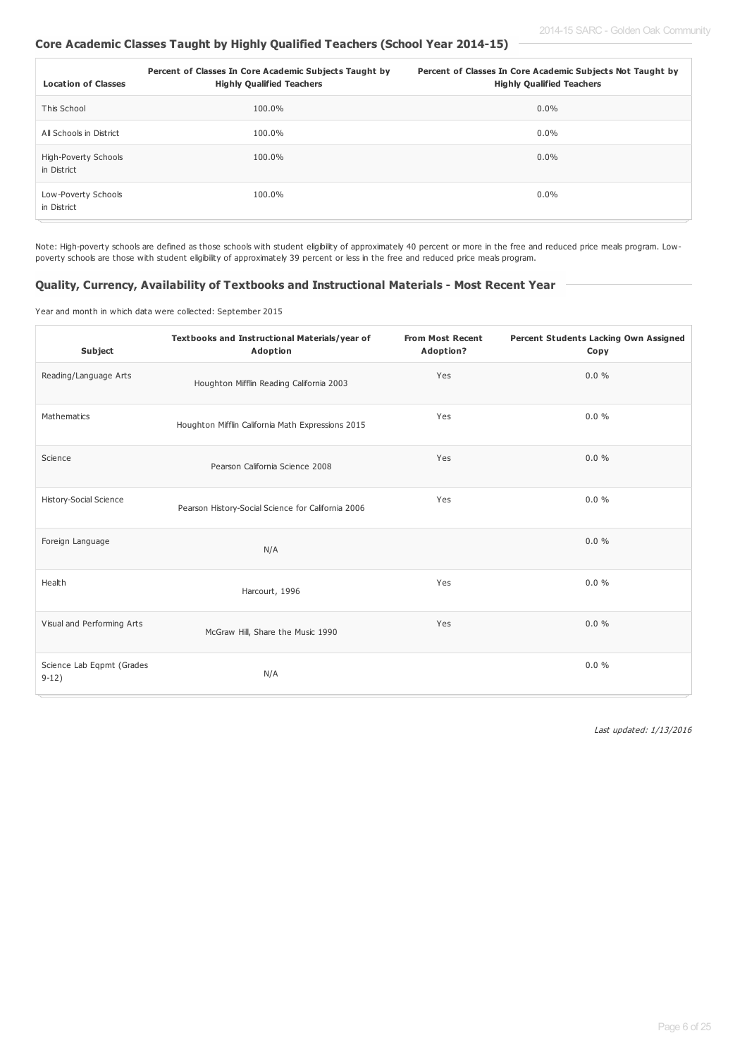### **Core Academic Classes Taught by Highly Qualified Teachers (School Year 2014-15)**

| <b>Location of Classes</b>          | Percent of Classes In Core Academic Subjects Taught by<br><b>Highly Qualified Teachers</b> | Percent of Classes In Core Academic Subjects Not Taught by<br><b>Highly Qualified Teachers</b> |
|-------------------------------------|--------------------------------------------------------------------------------------------|------------------------------------------------------------------------------------------------|
| This School                         | 100.0%                                                                                     | $0.0\%$                                                                                        |
| All Schools in District             | 100.0%                                                                                     | $0.0\%$                                                                                        |
| High-Poverty Schools<br>in District | 100.0%                                                                                     | $0.0\%$                                                                                        |
| Low-Poverty Schools<br>in District  | 100.0%                                                                                     | $0.0\%$                                                                                        |

Note: High-poverty schools are defined as those schools with student eligibility of approximately 40 percent or more in the free and reduced price meals program. Lowpoverty schools are those with student eligibility of approximately 39 percent or less in the free and reduced price meals program.

#### **Quality, Currency, Availability of Textbooks and Instructional Materials - Most Recent Year**

Year and month in which data were collected: September 2015

| <b>Subject</b>                       | Textbooks and Instructional Materials/year of<br>Adoption | <b>From Most Recent</b><br>Adoption? | Percent Students Lacking Own Assigned<br>Copy |
|--------------------------------------|-----------------------------------------------------------|--------------------------------------|-----------------------------------------------|
| Reading/Language Arts                | Houghton Mifflin Reading California 2003                  | Yes                                  | 0.0%                                          |
| Mathematics                          | Houghton Mifflin California Math Expressions 2015         | Yes                                  | $0.0 \%$                                      |
| Science                              | Pearson California Science 2008                           | Yes                                  | 0.0%                                          |
| History-Social Science               | Pearson History-Social Science for California 2006        | Yes                                  | $0.0 \%$                                      |
| Foreign Language                     | N/A                                                       |                                      | 0.0%                                          |
| Health                               | Harcourt, 1996                                            | Yes                                  | $0.0 \%$                                      |
| Visual and Performing Arts           | McGraw Hill, Share the Music 1990                         | Yes                                  | 0.0%                                          |
| Science Lab Eqpmt (Grades<br>$9-12)$ | N/A                                                       |                                      | 0.0%                                          |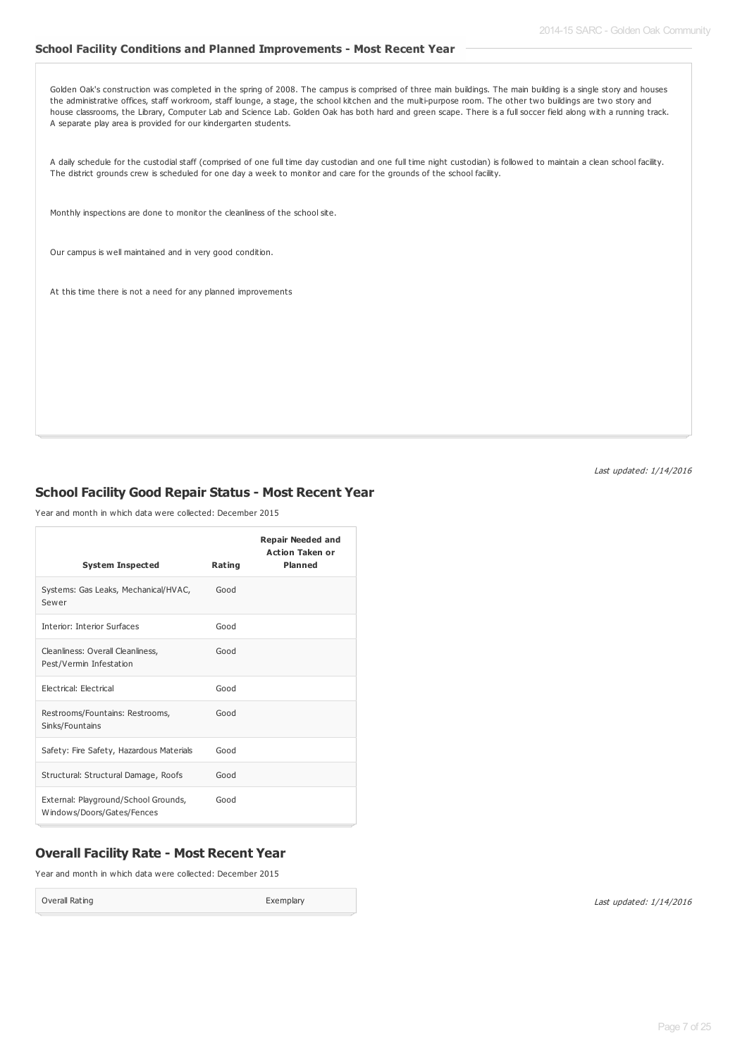#### **School Facility Conditions and Planned Improvements - Most Recent Year**

Golden Oak's construction was completed in the spring of 2008. The campus is comprised of three main buildings. The main building is a single story and houses the administrative offices, staff workroom, staff lounge, a stage, the school kitchen and the multi-purpose room. The other two buildings are two story and house classrooms, the Library, Computer Lab and Science Lab. Golden Oak has both hard and green scape. There is a full soccer field along with a running track. A separate play area is provided for our kindergarten students.

A daily schedule for the custodial staff (comprised of one full time day custodian and one full time night custodian) is followed to maintain a clean school facility. The district grounds crew is scheduled for one day a week to monitor and care for the grounds of the school facility.

Monthly inspections are done to monitor the cleanliness of the school site.

Our campus is well maintained and in very good condition.

At this time there is not a need for any planned improvements

Last updated: 1/14/2016

#### **School Facility Good Repair Status - Most Recent Year**

Year and month in which data were collected: December 2015

| <b>System Inspected</b>                                            | Rating | <b>Repair Needed and</b><br><b>Action Taken or</b><br><b>Planned</b> |
|--------------------------------------------------------------------|--------|----------------------------------------------------------------------|
| Systems: Gas Leaks, Mechanical/HVAC,<br>Sewer                      | Good   |                                                                      |
| <b>Interior: Interior Surfaces</b>                                 | Good   |                                                                      |
| Cleanliness: Overall Cleanliness,<br>Pest/Vermin Infestation       | Good   |                                                                      |
| <b>Electrical: Electrical</b>                                      | Good   |                                                                      |
| Restrooms/Fountains: Restrooms,<br>Sinks/Fountains                 | Good   |                                                                      |
| Safety: Fire Safety, Hazardous Materials                           | Good   |                                                                      |
| Structural: Structural Damage, Roofs                               | Good   |                                                                      |
| External: Playground/School Grounds,<br>Windows/Doors/Gates/Fences | Good   |                                                                      |

## **Overall Facility Rate - Most Recent Year**

Year and month in which data were collected: December 2015

Overall Rating **Exemplary**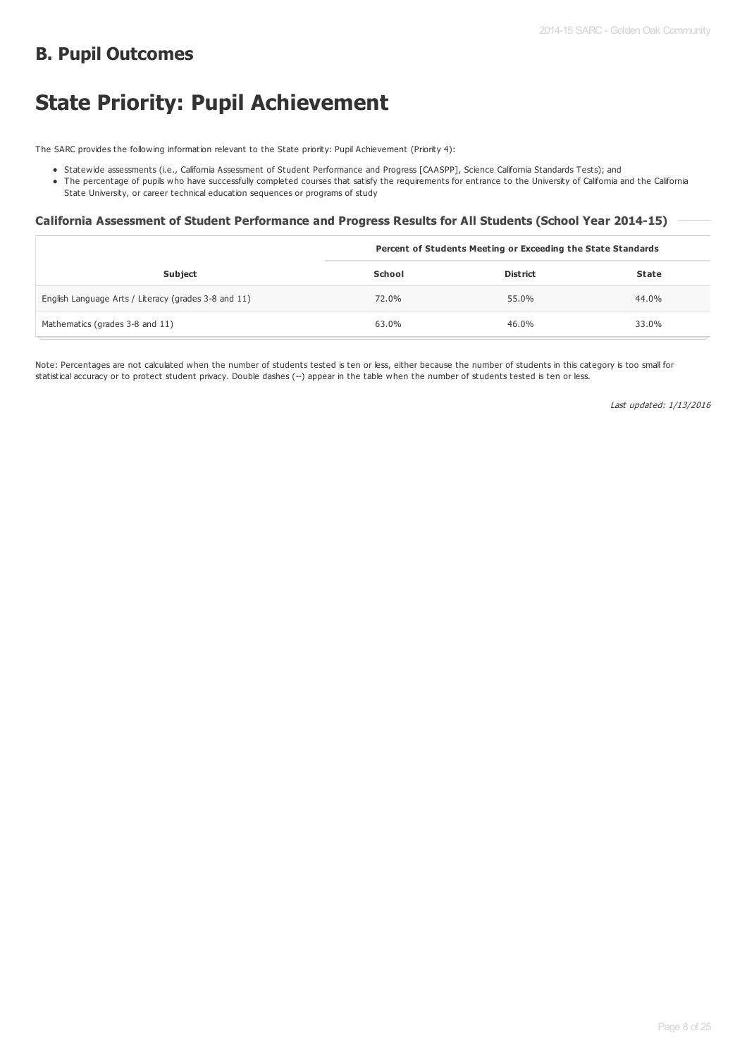# **B. Pupil Outcomes**

# **State Priority: Pupil Achievement**

The SARC provides the following information relevant to the State priority: Pupil Achievement (Priority 4):

- Statewide assessments (i.e., California Assessment of Student Performance and Progress [CAASPP], Science California Standards Tests); and
- The percentage of pupils who have successfully completed courses that satisfy the requirements for entrance to the University of California and the California State University, or career technical education sequences or programs of study

#### **California Assessment of Student Performance and Progress Results for All Students (School Year 2014-15)**

|                                                      | Percent of Students Meeting or Exceeding the State Standards |                 |       |
|------------------------------------------------------|--------------------------------------------------------------|-----------------|-------|
| Subject                                              | School                                                       | <b>District</b> | State |
| English Language Arts / Literacy (grades 3-8 and 11) | 72.0%                                                        | 55.0%           | 44.0% |
| Mathematics (grades 3-8 and 11)                      | 63.0%                                                        | 46.0%           | 33.0% |

Note: Percentages are not calculated when the number of students tested is ten or less, either because the number of students in this category is too small for statistical accuracy or to protect student privacy. Double dashes (--) appear in the table when the number of students tested is ten or less.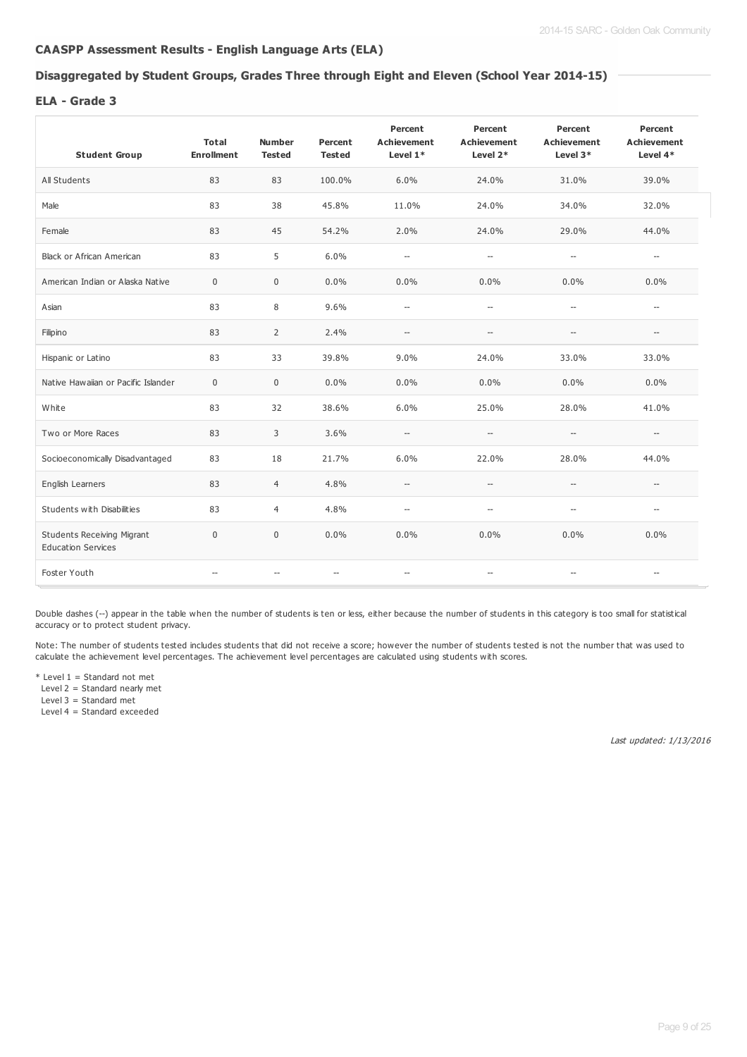### **CAASPP Assessment Results - English Language Arts (ELA)**

## **Disaggregated by Student Groups, Grades Three through Eight and Eleven (School Year 2014-15)**

#### **ELA - Grade 3**

| <b>Student Group</b>                                           | Total<br><b>Enrollment</b> | <b>Number</b><br><b>Tested</b> | Percent<br><b>Tested</b> | Percent<br><b>Achievement</b><br>Level $1*$ | Percent<br><b>Achievement</b><br>Level 2*           | Percent<br><b>Achievement</b><br>Level 3*           | Percent<br><b>Achievement</b><br>Level 4* |
|----------------------------------------------------------------|----------------------------|--------------------------------|--------------------------|---------------------------------------------|-----------------------------------------------------|-----------------------------------------------------|-------------------------------------------|
| All Students                                                   | 83                         | 83                             | 100.0%                   | 6.0%                                        | 24.0%                                               | 31.0%                                               | 39.0%                                     |
| Male                                                           | 83                         | 38                             | 45.8%                    | 11.0%                                       | 24.0%                                               | 34.0%                                               | 32.0%                                     |
| Female                                                         | 83                         | 45                             | 54.2%                    | 2.0%                                        | 24.0%                                               | 29.0%                                               | 44.0%                                     |
| <b>Black or African American</b>                               | 83                         | 5                              | 6.0%                     | $\overline{\phantom{a}}$                    | $\hspace{0.05cm} -\hspace{0.05cm} -\hspace{0.05cm}$ | $\hspace{0.05cm} -\hspace{0.05cm} -\hspace{0.05cm}$ | $\hspace{0.05cm} \ldots$                  |
| American Indian or Alaska Native                               | $\mathbf{0}$               | $\mathbf 0$                    | 0.0%                     | 0.0%                                        | 0.0%                                                | 0.0%                                                | 0.0%                                      |
| Asian                                                          | 83                         | 8                              | 9.6%                     | $\hspace{0.05cm} \ldots$                    | $\hspace{0.05cm} -\hspace{0.05cm} -\hspace{0.05cm}$ | $\hspace{0.05cm} -$                                 | $\overline{\phantom{a}}$                  |
| Filipino                                                       | 83                         | 2                              | 2.4%                     | $\overline{\phantom{a}}$                    | $\overline{\phantom{a}}$                            | $\hspace{0.05cm} -$                                 | $\overline{\phantom{a}}$                  |
| Hispanic or Latino                                             | 83                         | 33                             | 39.8%                    | 9.0%                                        | 24.0%                                               | 33.0%                                               | 33.0%                                     |
| Native Hawaiian or Pacific Islander                            | $\mathbf{0}$               | $\mathbf 0$                    | 0.0%                     | $0.0\%$                                     | 0.0%                                                | $0.0\%$                                             | 0.0%                                      |
| White                                                          | 83                         | 32                             | 38.6%                    | 6.0%                                        | 25.0%                                               | 28.0%                                               | 41.0%                                     |
| Two or More Races                                              | 83                         | 3                              | 3.6%                     | $\hspace{0.05cm} -\hspace{0.05cm}$          | $\overline{\phantom{a}}$                            | $\hspace{0.05cm} -$                                 | $\overline{\phantom{a}}$                  |
| Socioeconomically Disadvantaged                                | 83                         | 18                             | 21.7%                    | 6.0%                                        | 22.0%                                               | 28.0%                                               | 44.0%                                     |
| English Learners                                               | 83                         | $\overline{4}$                 | 4.8%                     | $\hspace{0.05cm} \ldots$                    | $\overline{\phantom{a}}$                            | $\sim$                                              | $\overline{\phantom{a}}$                  |
| Students with Disabilities                                     | 83                         | $\overline{4}$                 | 4.8%                     | $\overline{\phantom{a}}$                    | $\overline{\phantom{a}}$                            | $\overline{\phantom{a}}$                            | $\overline{\phantom{a}}$                  |
| <b>Students Receiving Migrant</b><br><b>Education Services</b> | $\mathbf 0$                | $\mathbf 0$                    | 0.0%                     | 0.0%                                        | 0.0%                                                | 0.0%                                                | $0.0\%$                                   |
| Foster Youth                                                   | $\overline{\phantom{a}}$   | $\overline{\phantom{a}}$       | $\overline{\phantom{a}}$ | $\overline{\phantom{a}}$                    | $\overline{\phantom{a}}$                            | $\overline{\phantom{a}}$                            | $\overline{\phantom{a}}$                  |

Double dashes (--) appear in the table when the number of students is ten or less, either because the number of students in this category is too small for statistical accuracy or to protect student privacy.

Note: The number of students tested includes students that did not receive a score; however the number of students tested is not the number that was used to calculate the achievement level percentages. The achievement level percentages are calculated using students with scores.

 $*$  Level 1 = Standard not met

Level 2 = Standard nearly met

Level 3 = Standard met Level 4 = Standard exceeded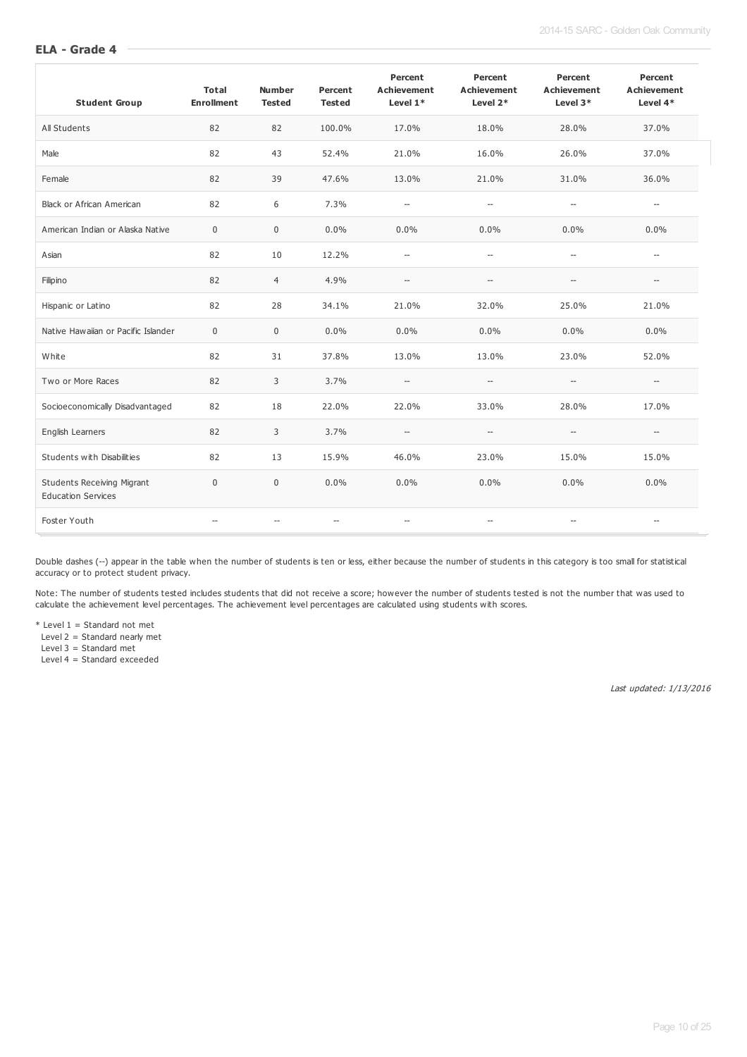#### **ELA - Grade 4**

| <b>Student Group</b>                                           | Total<br><b>Enrollment</b> | <b>Number</b><br><b>Tested</b>                      | Percent<br><b>Tested</b> | Percent<br><b>Achievement</b><br>Level $1*$ | Percent<br><b>Achievement</b><br>Level 2*           | Percent<br><b>Achievement</b><br>Level 3*           | Percent<br><b>Achievement</b><br>Level $4*$ |
|----------------------------------------------------------------|----------------------------|-----------------------------------------------------|--------------------------|---------------------------------------------|-----------------------------------------------------|-----------------------------------------------------|---------------------------------------------|
| All Students                                                   | 82                         | 82                                                  | 100.0%                   | 17.0%                                       | 18.0%                                               | 28.0%                                               | 37.0%                                       |
| Male                                                           | 82                         | 43                                                  | 52.4%                    | 21.0%                                       | 16.0%                                               | 26.0%                                               | 37.0%                                       |
| Female                                                         | 82                         | 39                                                  | 47.6%                    | 13.0%                                       | 21.0%                                               | 31.0%                                               | 36.0%                                       |
| <b>Black or African American</b>                               | 82                         | 6                                                   | 7.3%                     | $\overline{\phantom{a}}$                    | $\overline{\phantom{a}}$                            | $\overline{\phantom{a}}$                            | $\overline{\phantom{a}}$                    |
| American Indian or Alaska Native                               | $\mathbf 0$                | $\mathbf 0$                                         | $0.0\%$                  | 0.0%                                        | 0.0%                                                | 0.0%                                                | 0.0%                                        |
| Asian                                                          | 82                         | 10                                                  | 12.2%                    | $\overline{\phantom{a}}$                    | $\overline{\phantom{a}}$                            | $\hspace{0.05cm} \ldots$                            | $\overline{\phantom{a}}$                    |
| Filipino                                                       | 82                         | $\overline{4}$                                      | 4.9%                     | $\hspace{0.05cm} \ldots$                    | $\hspace{0.05cm} -\hspace{0.05cm} -\hspace{0.05cm}$ | $\hspace{0.05cm} -\hspace{0.05cm} -\hspace{0.05cm}$ | $\hspace{0.05cm} -\hspace{0.05cm}$          |
| Hispanic or Latino                                             | 82                         | 28                                                  | 34.1%                    | 21.0%                                       | 32.0%                                               | 25.0%                                               | 21.0%                                       |
| Native Hawaiian or Pacific Islander                            | $\mathbf 0$                | $\mathbf 0$                                         | 0.0%                     | 0.0%                                        | 0.0%                                                | 0.0%                                                | 0.0%                                        |
| White                                                          | 82                         | 31                                                  | 37.8%                    | 13.0%                                       | 13.0%                                               | 23.0%                                               | 52.0%                                       |
| Two or More Races                                              | 82                         | 3                                                   | 3.7%                     | $\hspace{0.05cm} \ldots$                    | $\hspace{0.05cm} -\hspace{0.05cm} -\hspace{0.05cm}$ | $\hspace{0.05cm} -\hspace{0.05cm} -\hspace{0.05cm}$ | $\hspace{0.05cm} \ldots$                    |
| Socioeconomically Disadvantaged                                | 82                         | 18                                                  | 22.0%                    | 22.0%                                       | 33.0%                                               | 28.0%                                               | 17.0%                                       |
| English Learners                                               | 82                         | 3                                                   | 3.7%                     | $\hspace{0.05cm} -$                         | $\hspace{0.05cm} -\hspace{0.05cm} -\hspace{0.05cm}$ | $\hspace{0.05cm} -\hspace{0.05cm} -\hspace{0.05cm}$ | $\hspace{0.05cm} -$                         |
| Students with Disabilities                                     | 82                         | 13                                                  | 15.9%                    | 46.0%                                       | 23.0%                                               | 15.0%                                               | 15.0%                                       |
| <b>Students Receiving Migrant</b><br><b>Education Services</b> | $\Omega$                   | $\mathbf 0$                                         | $0.0\%$                  | 0.0%                                        | 0.0%                                                | 0.0%                                                | 0.0%                                        |
| Foster Youth                                                   |                            | $\hspace{0.05cm} -\hspace{0.05cm} -\hspace{0.05cm}$ | $-\!$                    | $\overline{\phantom{a}}$                    | $\hspace{0.05cm} -\hspace{0.05cm}$                  | --                                                  | $\overline{\phantom{a}}$                    |

Double dashes (--) appear in the table when the number of students is ten or less, either because the number of students in this category is too small for statistical accuracy or to protect student privacy.

Note: The number of students tested includes students that did not receive a score; however the number of students tested is not the number that was used to calculate the achievement level percentages. The achievement level percentages are calculated using students with scores.

 $*$  Level 1 = Standard not met

Level 2 = Standard nearly met

Level 3 = Standard met

Level 4 = Standard exceeded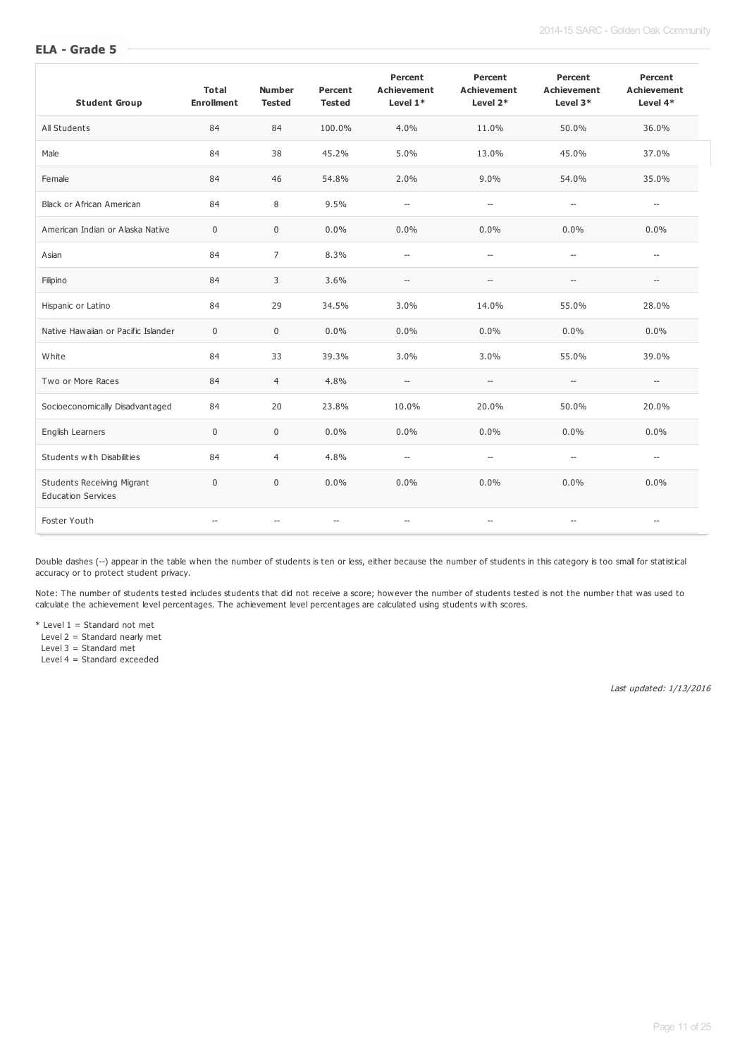#### **ELA - Grade 5**

| <b>Student Group</b>                                           | <b>Total</b><br><b>Enrollment</b> | <b>Number</b><br><b>Tested</b> | Percent<br><b>Tested</b> | Percent<br><b>Achievement</b><br>Level $1*$ | Percent<br><b>Achievement</b><br>Level $2*$         | Percent<br><b>Achievement</b><br>Level $3*$         | Percent<br><b>Achievement</b><br>Level $4*$ |
|----------------------------------------------------------------|-----------------------------------|--------------------------------|--------------------------|---------------------------------------------|-----------------------------------------------------|-----------------------------------------------------|---------------------------------------------|
| All Students                                                   | 84                                | 84                             | 100.0%                   | 4.0%                                        | 11.0%                                               | 50.0%                                               | 36.0%                                       |
| Male                                                           | 84                                | 38                             | 45.2%                    | 5.0%                                        | 13.0%                                               | 45.0%                                               | 37.0%                                       |
| Female                                                         | 84                                | 46                             | 54.8%                    | 2.0%                                        | 9.0%                                                | 54.0%                                               | 35.0%                                       |
| <b>Black or African American</b>                               | 84                                | 8                              | 9.5%                     | $\hspace{0.05cm} \ldots$                    | $\overline{\phantom{a}}$                            | $-\!$                                               | $\overline{\phantom{a}}$                    |
| American Indian or Alaska Native                               | $\mathbf 0$                       | $\mathbf 0$                    | 0.0%                     | 0.0%                                        | 0.0%                                                | 0.0%                                                |                                             |
| Asian                                                          | 84                                | $\overline{7}$                 | 8.3%                     | $\overline{\phantom{a}}$                    | $\hspace{0.05cm} \ldots$                            | $\overline{\phantom{a}}$                            |                                             |
| Filipino                                                       | 84                                | 3                              | 3.6%                     | $\cdots$                                    | $\hspace{0.05cm} -\hspace{0.05cm} -\hspace{0.05cm}$ | $\overline{\phantom{a}}$                            | $\hspace{0.05cm} -\hspace{0.05cm}$          |
| Hispanic or Latino                                             | 84                                | 29                             | 34.5%                    | 3.0%                                        | 14.0%                                               | 55.0%                                               | 28.0%                                       |
| Native Hawaiian or Pacific Islander                            | $\mathbf 0$                       | $\mathbf 0$                    | 0.0%                     | 0.0%                                        | 0.0%                                                | 0.0%                                                | 0.0%                                        |
| White                                                          | 84                                | 33                             | 39.3%                    | 3.0%                                        | 3.0%                                                | 55.0%                                               | 39.0%                                       |
| Two or More Races                                              | 84                                | $\overline{4}$                 | 4.8%                     | $\hspace{0.05cm} \ldots$                    | $\hspace{0.05cm} -\hspace{0.05cm}$                  | $\hspace{0.05cm} -\hspace{0.05cm} -\hspace{0.05cm}$ | $\hspace{0.05cm} -\hspace{0.05cm}$          |
| Socioeconomically Disadvantaged                                | 84                                | 20                             | 23.8%                    | 10.0%                                       | 20.0%                                               | 50.0%                                               | 20.0%                                       |
| English Learners                                               | $\mathbf 0$                       | $\mathbf 0$                    | $0.0\%$                  | 0.0%                                        | 0.0%                                                | 0.0%                                                | 0.0%                                        |
| Students with Disabilities                                     | 84                                | $\overline{4}$                 | 4.8%                     | $\hspace{0.05cm} -\hspace{0.05cm}$          | $\hspace{0.05cm} -\hspace{0.05cm}$                  | $-\!$                                               | $\hspace{0.05cm} \ldots$                    |
| <b>Students Receiving Migrant</b><br><b>Education Services</b> | $\mathbf 0$                       | $\mathbf 0$                    | $0.0\%$                  | 0.0%                                        | 0.0%                                                | 0.0%                                                | 0.0%                                        |
| Foster Youth                                                   |                                   | $\overline{\phantom{a}}$       | $\overline{\phantom{a}}$ | $\hspace{0.05cm} -\hspace{0.05cm}$          | $\overline{\phantom{a}}$                            | $\overline{\phantom{a}}$                            | $\overline{a}$                              |

Double dashes (--) appear in the table when the number of students is ten or less, either because the number of students in this category is too small for statistical accuracy or to protect student privacy.

Note: The number of students tested includes students that did not receive a score; however the number of students tested is not the number that was used to calculate the achievement level percentages. The achievement level percentages are calculated using students with scores.

 $*$  Level 1 = Standard not met

Level 2 = Standard nearly met

Level 3 = Standard met

Level 4 = Standard exceeded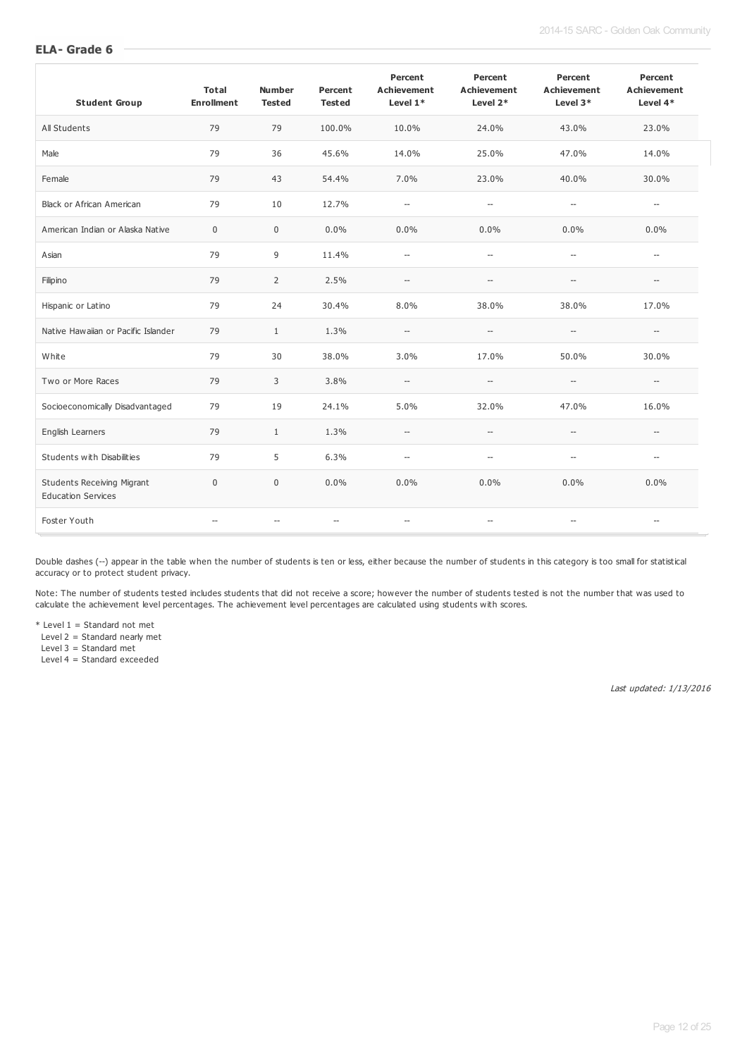#### **ELA- Grade 6**

| <b>Student Group</b>                                           | Total<br><b>Enrollment</b> | <b>Number</b><br><b>Tested</b> | Percent<br><b>Tested</b> | Percent<br><b>Achievement</b><br>Level $1*$ | Percent<br><b>Achievement</b><br>Level 2* | Percent<br><b>Achievement</b><br>Level $3*$         | Percent<br><b>Achievement</b><br>Level 4* |  |  |
|----------------------------------------------------------------|----------------------------|--------------------------------|--------------------------|---------------------------------------------|-------------------------------------------|-----------------------------------------------------|-------------------------------------------|--|--|
| All Students                                                   | 79                         | 79                             | 100.0%                   | 10.0%                                       | 24.0%                                     | 43.0%                                               | 23.0%                                     |  |  |
| Male                                                           | 79                         | 36                             | 45.6%                    | 14.0%                                       | 25.0%                                     | 47.0%                                               | 14.0%                                     |  |  |
| Female                                                         | 79                         | 43                             | 54.4%                    | 7.0%                                        | 23.0%                                     | 40.0%                                               | 30.0%                                     |  |  |
| <b>Black or African American</b>                               | 79                         | 10                             | 12.7%                    | $\overline{\phantom{a}}$                    | $\hspace{0.05cm} -\hspace{0.05cm}$        | $\hspace{0.05cm} -\hspace{0.05cm}$                  | $\overline{\phantom{a}}$                  |  |  |
| American Indian or Alaska Native                               | $\mathbf 0$                | $\mathbf 0$                    | $0.0\%$                  | 0.0%<br>0.0%<br>0.0%                        |                                           |                                                     | 0.0%                                      |  |  |
| Asian                                                          | 79                         | 9                              | 11.4%                    | $\hspace{0.05cm} \ldots$                    | $\hspace{0.05cm} -\hspace{0.05cm}$        | $\overline{\phantom{a}}$                            | $\hspace{0.05cm} \ldots$                  |  |  |
| Filipino                                                       | 79                         | 2                              | 2.5%                     | $\hspace{0.05cm} -$                         | $\hspace{0.05cm} -\hspace{0.05cm}$        | --                                                  | $\hspace{0.05cm} \ldots$                  |  |  |
| Hispanic or Latino                                             | 79                         | 24                             | 30.4%                    | 8.0%                                        | 38.0%                                     | 38.0%                                               | 17.0%                                     |  |  |
| Native Hawaiian or Pacific Islander                            | 79                         | $\mathbf{1}$                   | 1.3%                     | $\hspace{0.05cm} \ldots$                    | $\hspace{0.05cm} -\hspace{0.05cm}$        | $\hspace{0.05cm} -\hspace{0.05cm} -\hspace{0.05cm}$ | $\overline{\phantom{a}}$                  |  |  |
| White                                                          | 79                         | 30                             | 38.0%                    | 3.0%                                        | 17.0%                                     | 50.0%                                               | 30.0%                                     |  |  |
| Two or More Races                                              | 79                         | 3                              | 3.8%                     | $\hspace{0.05cm} -\hspace{0.05cm}$          | $\hspace{0.05cm} -\hspace{0.05cm}$        | --                                                  | $\overline{\phantom{a}}$                  |  |  |
| Socioeconomically Disadvantaged                                | 79                         | 19                             | 24.1%                    | 5.0%                                        | 32.0%                                     | 47.0%                                               | 16.0%                                     |  |  |
| English Learners                                               | 79                         | $\mathbf{1}$                   | 1.3%                     | --                                          | $\hspace{0.05cm} -\hspace{0.05cm}$        | $\hspace{0.05cm} -\hspace{0.05cm}$                  | $\overline{\phantom{a}}$                  |  |  |
| Students with Disabilities                                     | 79                         | 5                              | 6.3%                     | $\hspace{0.05cm} -$                         | $\hspace{0.05cm} -\hspace{0.05cm}$        | $\overline{\phantom{a}}$                            | $\hspace{0.05cm} \ldots$                  |  |  |
| <b>Students Receiving Migrant</b><br><b>Education Services</b> | $\Omega$                   | $\mathbf 0$                    | 0.0%                     | 0.0%                                        | 0.0%                                      | 0.0%                                                | $0.0\%$                                   |  |  |
| Foster Youth                                                   |                            | $\overline{a}$                 | $\qquad \qquad -$        | --                                          | $\hspace{0.05cm} -\hspace{0.05cm}$        | --                                                  | $\hspace{0.05cm} \ldots$                  |  |  |

Double dashes (--) appear in the table when the number of students is ten or less, either because the number of students in this category is too small for statistical accuracy or to protect student privacy.

Note: The number of students tested includes students that did not receive a score; however the number of students tested is not the number that was used to calculate the achievement level percentages. The achievement level percentages are calculated using students with scores.

 $*$  Level 1 = Standard not met

Level 2 = Standard nearly met

Level 3 = Standard met

Level 4 = Standard exceeded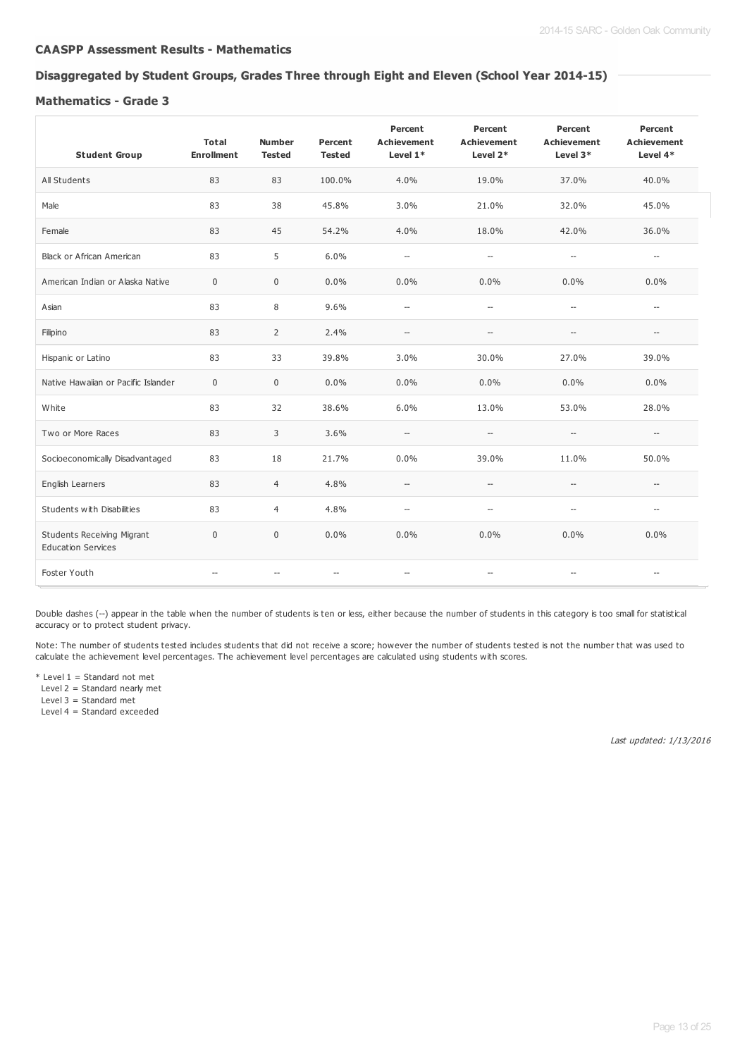#### **CAASPP Assessment Results - Mathematics**

## **Disaggregated by Student Groups, Grades Three through Eight and Eleven (School Year 2014-15)**

#### **Mathematics - Grade 3**

| <b>Student Group</b>                                           | <b>Total</b><br><b>Enrollment</b> | <b>Number</b><br><b>Tested</b>     | Percent<br><b>Tested</b> | Percent<br><b>Achievement</b><br>Level $1*$ | Percent<br><b>Achievement</b><br>Level 2*           | Percent<br><b>Achievement</b><br>Level 3*           | Percent<br><b>Achievement</b><br>Level 4* |
|----------------------------------------------------------------|-----------------------------------|------------------------------------|--------------------------|---------------------------------------------|-----------------------------------------------------|-----------------------------------------------------|-------------------------------------------|
| All Students                                                   | 83                                | 83                                 | 100.0%                   | 4.0%                                        | 19.0%                                               | 37.0%                                               | 40.0%                                     |
| Male                                                           | 83                                | 38                                 | 45.8%                    | 3.0%                                        | 21.0%                                               | 32.0%                                               | 45.0%                                     |
| Female                                                         | 83                                | 45                                 | 54.2%                    | 4.0%                                        | 18.0%                                               | 42.0%                                               | 36.0%                                     |
| <b>Black or African American</b>                               | 83                                | 5                                  | 6.0%                     | $\overline{\phantom{a}}$                    | $\hspace{0.05cm} -\hspace{0.05cm} -\hspace{0.05cm}$ | $-\!$                                               | $\hspace{0.05cm} -\hspace{0.05cm}$        |
| American Indian or Alaska Native                               | $\mathbf 0$                       | $\mathsf 0$                        | 0.0%                     | 0.0%                                        | 0.0%                                                | 0.0%                                                | $0.0\%$                                   |
| Asian                                                          | 83                                | 8                                  | 9.6%                     | $\overline{\phantom{a}}$                    | $\qquad \qquad -$                                   | $\overline{\phantom{a}}$                            | --                                        |
| Filipino                                                       | 83                                | 2                                  | 2.4%                     | $\hspace{0.05cm} -$                         | $-\!$                                               | $\hspace{0.05cm} -\hspace{0.05cm} -\hspace{0.05cm}$ | --                                        |
| Hispanic or Latino                                             | 83                                | 33                                 | 39.8%                    | 3.0%                                        | 30.0%                                               | 27.0%                                               | 39.0%                                     |
| Native Hawaiian or Pacific Islander                            | $\mathbf 0$                       | $\mathbf 0$                        | 0.0%                     | 0.0%                                        | 0.0%                                                | 0.0%                                                | 0.0%                                      |
| White                                                          | 83                                | 32                                 | 38.6%                    | 6.0%                                        | 13.0%                                               | 53.0%                                               | 28.0%                                     |
| Two or More Races                                              | 83                                | 3                                  | 3.6%                     | $\hspace{0.05cm} -\hspace{0.05cm}$          | $\overline{\phantom{a}}$                            | $\overline{\phantom{a}}$                            | $\overline{\phantom{0}}$                  |
| Socioeconomically Disadvantaged                                | 83                                | 18                                 | 21.7%                    | 0.0%                                        | 39.0%                                               | 11.0%                                               | 50.0%                                     |
| English Learners                                               | 83                                | $\overline{4}$                     | 4.8%                     | $\hspace{0.05cm} -\hspace{0.05cm}$          | $\overline{\phantom{a}}$                            | $\overline{a}$                                      | $\overline{a}$                            |
| Students with Disabilities                                     | 83                                | $\overline{4}$                     | 4.8%                     | $\overline{\phantom{a}}$                    | $\overline{\phantom{a}}$                            | $\overline{\phantom{a}}$                            | $\overline{\phantom{a}}$                  |
| <b>Students Receiving Migrant</b><br><b>Education Services</b> | $\mathbf 0$                       | $\mathbf 0$                        | 0.0%                     | 0.0%                                        | 0.0%                                                | 0.0%                                                | 0.0%                                      |
| Foster Youth                                                   | $\overline{\phantom{a}}$          | $\hspace{0.05cm} -\hspace{0.05cm}$ | $\overline{\phantom{a}}$ | $\overline{\phantom{a}}$                    | $\overline{\phantom{a}}$                            | $\overline{\phantom{a}}$                            | $\overline{\phantom{a}}$                  |

Double dashes (--) appear in the table when the number of students is ten or less, either because the number of students in this category is too small for statistical accuracy or to protect student privacy.

Note: The number of students tested includes students that did not receive a score; however the number of students tested is not the number that was used to calculate the achievement level percentages. The achievement level percentages are calculated using students with scores.

 $*$  Level 1 = Standard not met

Level 2 = Standard nearly met

Level 3 = Standard met

Level 4 = Standard exceeded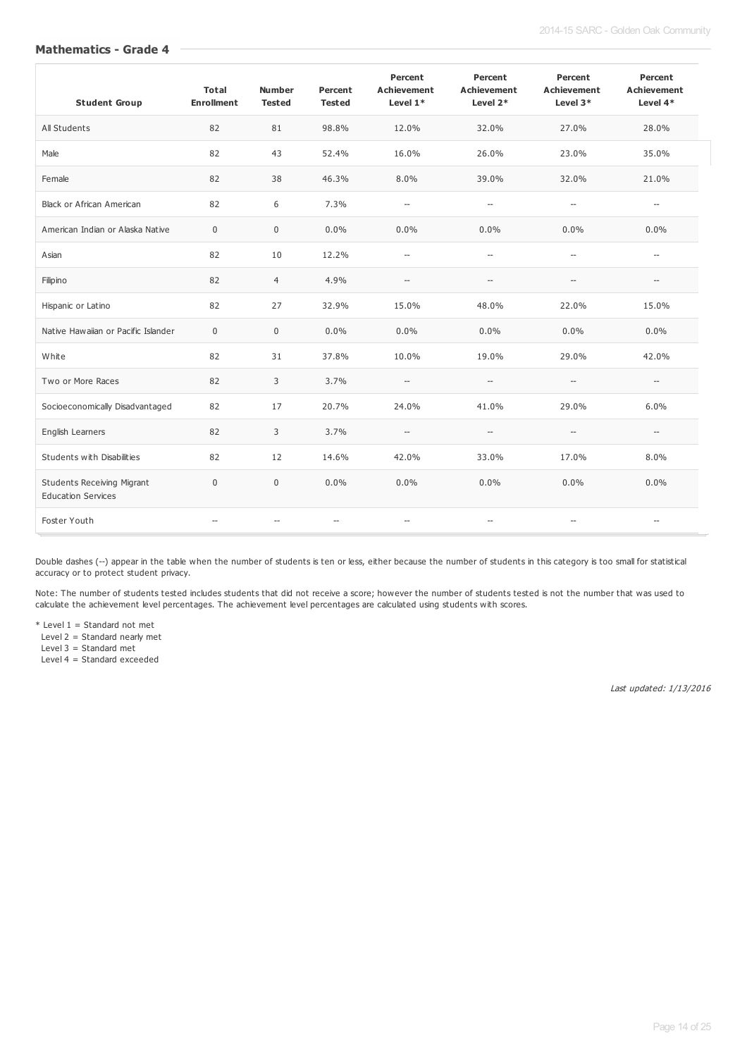#### **Mathematics - Grade 4**

| <b>Student Group</b>                                           | Total<br><b>Enrollment</b> | <b>Number</b><br><b>Tested</b> | Percent<br><b>Tested</b>                            | Percent<br><b>Achievement</b><br>Level $1*$ | Percent<br><b>Achievement</b><br>Level 2*           | Percent<br><b>Achievement</b><br>Level 3* | Percent<br><b>Achievement</b><br>Level 4* |  |  |
|----------------------------------------------------------------|----------------------------|--------------------------------|-----------------------------------------------------|---------------------------------------------|-----------------------------------------------------|-------------------------------------------|-------------------------------------------|--|--|
| All Students                                                   | 82                         | 81                             | 98.8%                                               | 12.0%                                       | 32.0%                                               | 27.0%                                     | 28.0%                                     |  |  |
| Male                                                           | 82                         | 43                             | 52.4%                                               | 16.0%                                       | 26.0%                                               | 23.0%                                     | 35.0%                                     |  |  |
| Female                                                         | 82                         | 38                             | 46.3%                                               | 8.0%                                        | 39.0%                                               | 32.0%                                     | 21.0%                                     |  |  |
| <b>Black or African American</b>                               | 82                         | 6                              | 7.3%                                                | $\overline{\phantom{a}}$                    | $\overline{\phantom{a}}$                            | $\overline{\phantom{a}}$                  | $\hspace{0.05cm} \ldots$                  |  |  |
| American Indian or Alaska Native                               | $\mathbf 0$                | $\mathbf 0$                    | 0.0%                                                | $0.0\%$                                     | 0.0%                                                | 0.0%                                      | $0.0\%$                                   |  |  |
| Asian                                                          | 82                         | 10                             | 12.2%                                               | $\overline{\phantom{a}}$                    | $\overline{\phantom{a}}$                            | $\overline{\phantom{a}}$                  | $\overline{a}$                            |  |  |
| Filipino                                                       | 82                         | $\overline{4}$                 | 4.9%                                                | $\hspace{0.05cm} \ldots$                    | $\hspace{0.05cm} -\hspace{0.05cm} -\hspace{0.05cm}$ | $\overline{\phantom{a}}$                  | $\hspace{0.05cm} -\hspace{0.05cm}$        |  |  |
| Hispanic or Latino                                             | 82                         | 27                             | 32.9%                                               | 15.0%                                       | 48.0%                                               | 22.0%                                     | 15.0%                                     |  |  |
| Native Hawaijan or Pacific Islander                            | $\Omega$                   | $\mathbf 0$                    | 0.0%                                                | 0.0%                                        | 0.0%                                                | 0.0%                                      | $0.0\%$                                   |  |  |
| White                                                          | 82                         | 31                             | 37.8%                                               | 10.0%                                       | 19.0%                                               | 29.0%                                     | 42.0%                                     |  |  |
| Two or More Races                                              | 82                         | 3                              | 3.7%                                                | --                                          | $\hspace{0.05cm} -\hspace{0.05cm}$                  | --                                        | $\hspace{0.05cm} \ldots$                  |  |  |
| Socioeconomically Disadvantaged                                | 82                         | 17                             | 20.7%                                               | 24.0%                                       | 41.0%                                               | 29.0%                                     | 6.0%                                      |  |  |
| English Learners                                               | 82                         | 3                              | 3.7%                                                | --                                          | $\hspace{0.05cm} -\hspace{0.05cm}$                  | $\overline{\phantom{a}}$                  | $\hspace{0.05cm} \ldots$                  |  |  |
| Students with Disabilities                                     | 82                         | 12                             | 14.6%                                               | 42.0%                                       | 33.0%                                               | 17.0%                                     | 8.0%                                      |  |  |
| <b>Students Receiving Migrant</b><br><b>Education Services</b> | $\mathbf 0$                | $\boldsymbol{0}$               | 0.0%                                                | 0.0%                                        | 0.0%                                                | 0.0%                                      | $0.0\%$                                   |  |  |
| Foster Youth                                                   | $\overline{\phantom{a}}$   | $\overline{\phantom{a}}$       | $\hspace{0.05cm} -\hspace{0.05cm} -\hspace{0.05cm}$ | $\hspace{0.05cm} -\hspace{0.05cm}$          | $\hspace{0.05cm} -\hspace{0.05cm}$                  | --                                        | $\overline{\phantom{a}}$                  |  |  |

Double dashes (--) appear in the table when the number of students is ten or less, either because the number of students in this category is too small for statistical accuracy or to protect student privacy.

Note: The number of students tested includes students that did not receive a score; however the number of students tested is not the number that was used to calculate the achievement level percentages. The achievement level percentages are calculated using students with scores.

 $*$  Level 1 = Standard not met

Level 2 = Standard nearly met

Level 3 = Standard met

Level 4 = Standard exceeded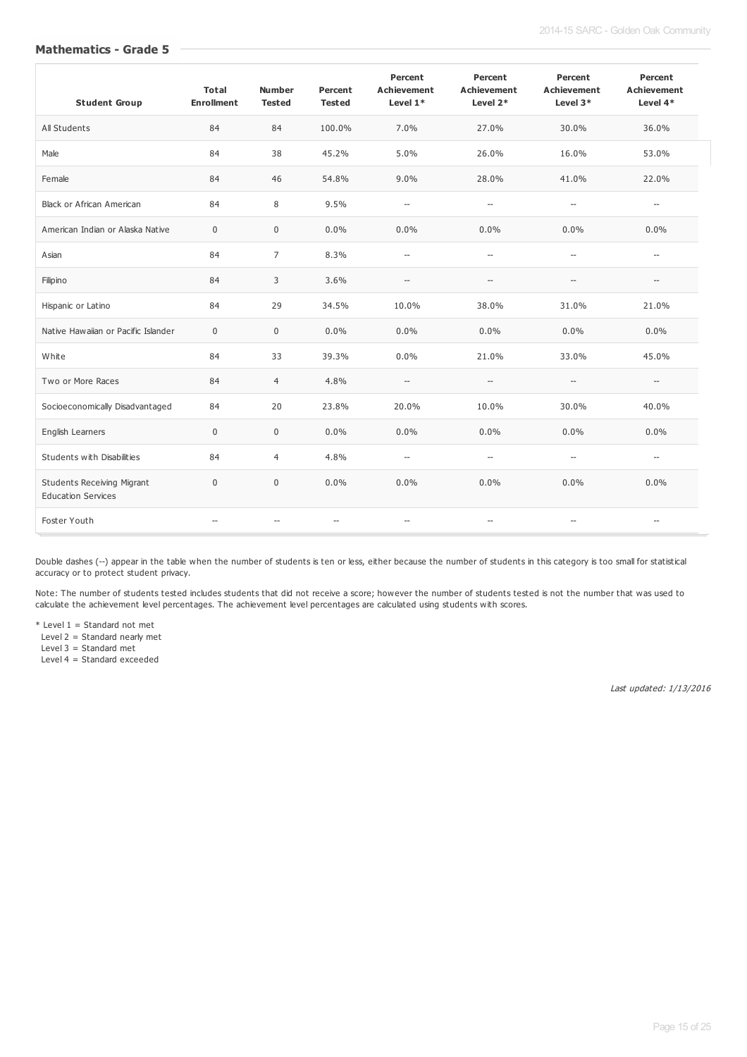#### **Mathematics - Grade 5**

| <b>Student Group</b>                                           | <b>Total</b><br><b>Enrollment</b> | <b>Number</b><br><b>Tested</b> | Percent<br><b>Tested</b> | Percent<br><b>Achievement</b><br>Level $1*$ | Percent<br><b>Achievement</b><br>Level 2* | Percent<br><b>Achievement</b><br>Level 3* | Percent<br><b>Achievement</b><br>Level 4* |
|----------------------------------------------------------------|-----------------------------------|--------------------------------|--------------------------|---------------------------------------------|-------------------------------------------|-------------------------------------------|-------------------------------------------|
| All Students                                                   | 84                                | 84                             | 100.0%                   | 7.0%                                        | 27.0%                                     | 30.0%                                     | 36.0%                                     |
| Male                                                           | 84                                | 38                             | 45.2%                    | 5.0%                                        | 26.0%                                     | 16.0%                                     | 53.0%                                     |
| Female                                                         | 84                                | 46                             | 54.8%                    | 9.0%                                        | 28.0%                                     | 41.0%                                     | 22.0%                                     |
| <b>Black or African American</b>                               | 84                                | 8                              | 9.5%                     | $\overline{\phantom{a}}$                    | $\overline{\phantom{a}}$                  | $\overline{\phantom{a}}$                  | $\hspace{0.05cm} -\hspace{0.05cm}$        |
| American Indian or Alaska Native                               | $\mathbf 0$                       | $\mathbf 0$                    | 0.0%                     | 0.0%                                        | 0.0%                                      | 0.0%                                      | $0.0\%$                                   |
| Asian                                                          | 84                                | $\overline{7}$                 | 8.3%                     | $\overline{\phantom{a}}$                    | $\overline{\phantom{a}}$                  | $\overline{\phantom{a}}$                  | $\overline{a}$                            |
| Filipino                                                       | 84                                | 3                              | 3.6%                     | $\hspace{0.05cm} \ldots$                    | $\hspace{0.05cm} -\hspace{0.05cm}$        | $\overline{\phantom{a}}$                  | $\hspace{0.05cm} -\hspace{0.05cm}$        |
| Hispanic or Latino                                             | 84                                | 29                             | 34.5%                    | 10.0%                                       | 38.0%                                     | 31.0%                                     | 21.0%                                     |
| Native Hawaijan or Pacific Islander                            | $\Omega$                          | $\mathbf 0$                    | 0.0%                     | 0.0%                                        | 0.0%                                      | 0.0%                                      | $0.0\%$                                   |
| White                                                          | 84                                | 33                             | 39.3%                    | 0.0%                                        | 21.0%                                     | 33.0%                                     | 45.0%                                     |
| Two or More Races                                              | 84                                | $\overline{4}$                 | 4.8%                     | $\hspace{0.05cm} -\hspace{0.05cm}$          | $\hspace{0.05cm} -\hspace{0.05cm}$        | --                                        | $\hspace{0.05cm} \ldots$                  |
| Socioeconomically Disadvantaged                                | 84                                | 20                             | 23.8%                    | 20.0%                                       | 10.0%                                     | 30.0%                                     | 40.0%                                     |
| English Learners                                               | $\mathbf 0$                       | $\mathbf 0$                    | $0.0\%$                  | $0.0\%$                                     | 0.0%                                      | 0.0%                                      | $0.0\%$                                   |
| Students with Disabilities                                     | 84                                | $\overline{4}$                 | 4.8%                     | $\overline{\phantom{a}}$                    | $\hspace{0.05cm} -\hspace{0.05cm}$        | $\overline{\phantom{a}}$                  | $\overline{\phantom{a}}$                  |
| <b>Students Receiving Migrant</b><br><b>Education Services</b> | $\mathbf 0$                       | $\boldsymbol{0}$               | 0.0%                     | 0.0%                                        | 0.0%                                      | 0.0%                                      | $0.0\%$                                   |
| Foster Youth                                                   | $\overline{\phantom{a}}$          | $\overline{\phantom{a}}$       | $\overline{\phantom{a}}$ | $\hspace{0.05cm} -\hspace{0.05cm}$          | $\hspace{0.05cm} -\hspace{0.05cm}$        | --                                        | $\overline{\phantom{a}}$                  |

Double dashes (--) appear in the table when the number of students is ten or less, either because the number of students in this category is too small for statistical accuracy or to protect student privacy.

Note: The number of students tested includes students that did not receive a score; however the number of students tested is not the number that was used to calculate the achievement level percentages. The achievement level percentages are calculated using students with scores.

 $*$  Level 1 = Standard not met

Level 2 = Standard nearly met

Level 3 = Standard met

Level 4 = Standard exceeded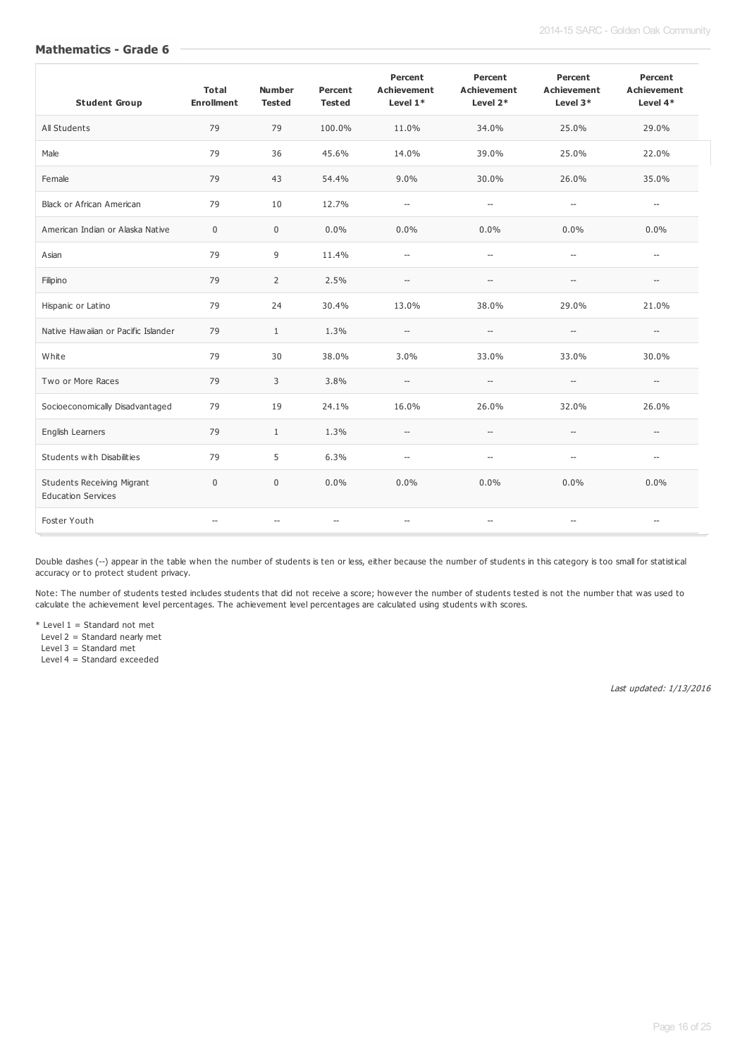#### **Mathematics - Grade 6**

|                                                                | <b>Total</b>             | <b>Number</b>            | Percent                  | Percent<br><b>Achievement</b>      | Percent<br><b>Achievement</b>      | Percent<br><b>Achievement</b> | Percent<br><b>Achievement</b>      |
|----------------------------------------------------------------|--------------------------|--------------------------|--------------------------|------------------------------------|------------------------------------|-------------------------------|------------------------------------|
| <b>Student Group</b>                                           | <b>Enrollment</b>        | <b>Tested</b>            | <b>Tested</b>            | Level $1*$                         | Level 2*                           | Level 3*                      | Level 4*                           |
| All Students                                                   | 79                       | 79                       | 100.0%                   | 11.0%                              | 34.0%                              | 25.0%                         | 29.0%                              |
| Male                                                           | 79                       | 36                       | 45.6%                    | 14.0%                              | 39.0%                              | 25.0%                         | 22.0%                              |
| Female                                                         | 79                       | 43                       | 54.4%                    | 9.0%                               | 30.0%                              | 26.0%                         | 35.0%                              |
| Black or African American                                      | 79                       | 10                       | 12.7%                    | $\overline{\phantom{a}}$           | $\overline{\phantom{a}}$           | $\overline{\phantom{a}}$      | $\hspace{0.05cm} -\hspace{0.05cm}$ |
| American Indian or Alaska Native                               | $\mathbf 0$              | $\mathbf 0$              | $0.0\%$                  | 0.0%                               | 0.0%                               | 0.0%                          | $0.0\%$                            |
| Asian                                                          | 79                       | 9                        | 11.4%                    | $\overline{\phantom{a}}$           | $\overline{a}$                     | $\overline{\phantom{a}}$      | $\overline{a}$                     |
| Filipino                                                       | 79                       | 2                        | 2.5%                     | $\hspace{0.05cm} \ldots$           | $\hspace{0.05cm}--\hspace{0.05cm}$ | --                            | $\hspace{0.05cm} -\hspace{0.05cm}$ |
| Hispanic or Latino                                             | 79                       | 24                       | 30.4%                    | 13.0%                              | 38.0%                              | 29.0%                         | 21.0%                              |
| Native Hawaiian or Pacific Islander                            | 79                       | $\mathbf{1}$             | 1.3%                     | $\hspace{0.05cm} \ldots$           | $\hspace{0.05cm} -\hspace{0.05cm}$ | $-\!$                         | $\hspace{0.05cm} \ldots$           |
| White                                                          | 79                       | 30                       | 38.0%                    | 3.0%                               | 33.0%                              | 33.0%                         | 30.0%                              |
| Two or More Races                                              | 79                       | 3                        | 3.8%                     | $\hspace{0.05cm} -$                | $\hspace{0.05cm} -\hspace{0.05cm}$ | $\overline{\phantom{a}}$      | $\hspace{0.05cm} \ldots$           |
| Socioeconomically Disadvantaged                                | 79                       | 19                       | 24.1%                    | 16.0%                              | 26.0%                              | 32.0%                         | 26.0%                              |
| English Learners                                               | 79                       | $\mathbf{1}$             | 1.3%                     | $\hspace{0.05cm} -\hspace{0.05cm}$ | $\hspace{0.05cm} -\hspace{0.05cm}$ | --                            | $\sim$                             |
| Students with Disabilities                                     | 79                       | 5                        | 6.3%                     | $\overline{\phantom{a}}$           | $\overline{\phantom{a}}$           | --                            | $\overline{\phantom{a}}$           |
| <b>Students Receiving Migrant</b><br><b>Education Services</b> | $\mathbf 0$              | $\bf 0$                  | 0.0%                     | 0.0%                               | 0.0%                               | 0.0%                          | 0.0%                               |
| Foster Youth                                                   | $\overline{\phantom{a}}$ | $\hspace{0.05cm} \ldots$ | $\overline{\phantom{a}}$ | $\hspace{0.05cm} \ldots$           | $\hspace{0.05cm} -\hspace{0.05cm}$ | --                            | $\overline{\phantom{a}}$           |

Double dashes (--) appear in the table when the number of students is ten or less, either because the number of students in this category is too small for statistical accuracy or to protect student privacy.

Note: The number of students tested includes students that did not receive a score; however the number of students tested is not the number that was used to calculate the achievement level percentages. The achievement level percentages are calculated using students with scores.

 $*$  Level 1 = Standard not met

Level 2 = Standard nearly met

Level 3 = Standard met

Level 4 = Standard exceeded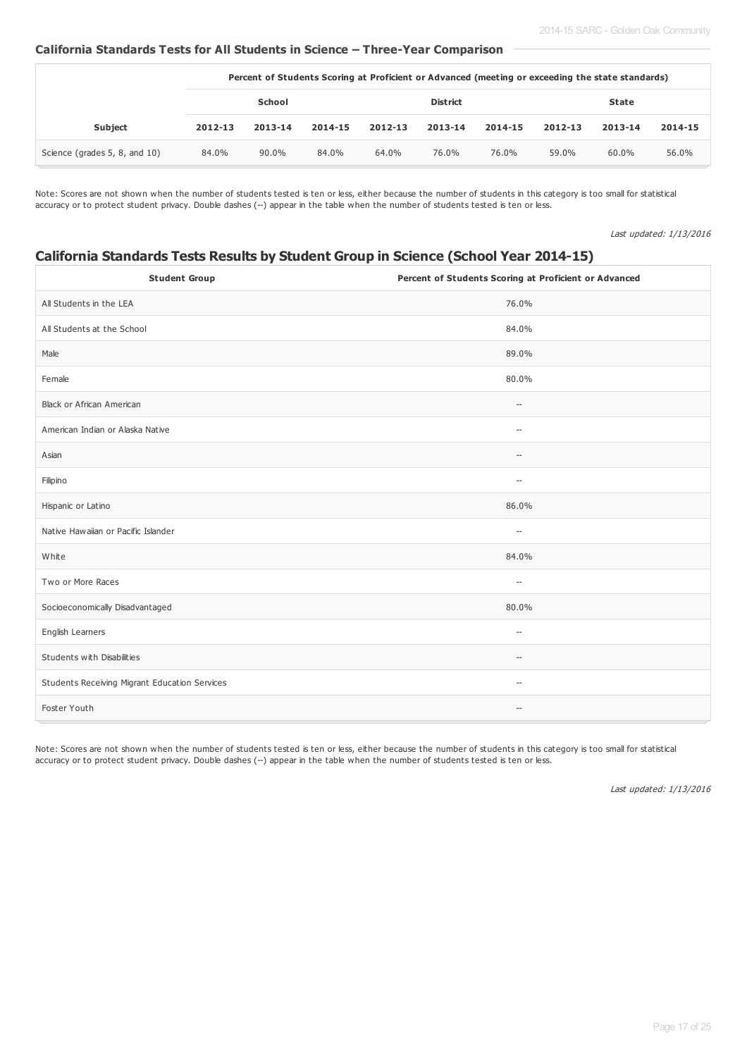### **California Standards Tests for All Students in Science – Three-Year Comparison**

|                               | Percent of Students Scoring at Proficient or Advanced (meeting or exceeding the state standards) |         |         |                 |         |         |         |         |         |  |
|-------------------------------|--------------------------------------------------------------------------------------------------|---------|---------|-----------------|---------|---------|---------|---------|---------|--|
|                               | <b>School</b>                                                                                    |         |         | <b>District</b> |         |         | State   |         |         |  |
| <b>Subject</b>                | 2012-13                                                                                          | 2013-14 | 2014-15 | 2012-13         | 2013-14 | 2014-15 | 2012-13 | 2013-14 | 2014-15 |  |
| Science (grades 5, 8, and 10) | 84.0%                                                                                            | 90.0%   | 84.0%   | 64.0%           | 76.0%   | 76.0%   | 59.0%   | 60.0%   | 56.0%   |  |

Note: Scores are not shown when the number of students tested is ten or less, either because the number of students in this category is too small for statistical accuracy or to protect student privacy. Double dashes (--) appear in the table when the number of students tested is ten or less.

Last updated: 1/13/2016

# **California Standards Tests Results by Student Group in Science (School Year 2014-15)**

| <b>Student Group</b>                          | Percent of Students Scoring at Proficient or Advanced |
|-----------------------------------------------|-------------------------------------------------------|
| All Students in the LEA                       | 76.0%                                                 |
| All Students at the School                    | 84.0%                                                 |
| Male                                          | 89.0%                                                 |
| Female                                        | 80.0%                                                 |
| Black or African American                     | $\hspace{0.05cm} -\hspace{0.05cm} -\hspace{0.05cm}$   |
| American Indian or Alaska Native              | $\overline{\phantom{a}}$                              |
| Asian                                         | $\hspace{0.05cm} -\hspace{0.05cm} -\hspace{0.05cm}$   |
| Filipino                                      | $\overline{\phantom{a}}$                              |
| Hispanic or Latino                            | 86.0%                                                 |
| Native Hawaiian or Pacific Islander           | $\hspace{0.05cm} \ldots$                              |
| White                                         | 84.0%                                                 |
| Two or More Races                             | $\overline{\phantom{a}}$                              |
| Socioeconomically Disadvantaged               | 80.0%                                                 |
| English Learners                              | $\hspace{0.05cm} -\hspace{0.05cm} -\hspace{0.05cm}$   |
| Students with Disabilities                    | $\hspace{0.05cm} \ldots$                              |
| Students Receiving Migrant Education Services | $\overline{\phantom{a}}$                              |
| Foster Youth                                  | $\hspace{0.05cm} \ldots$                              |

Note: Scores are not shown when the number of students tested is ten or less, either because the number of students in this category is too small for statistical accuracy or to protect student privacy. Double dashes (--) appear in the table when the number of students tested is ten or less.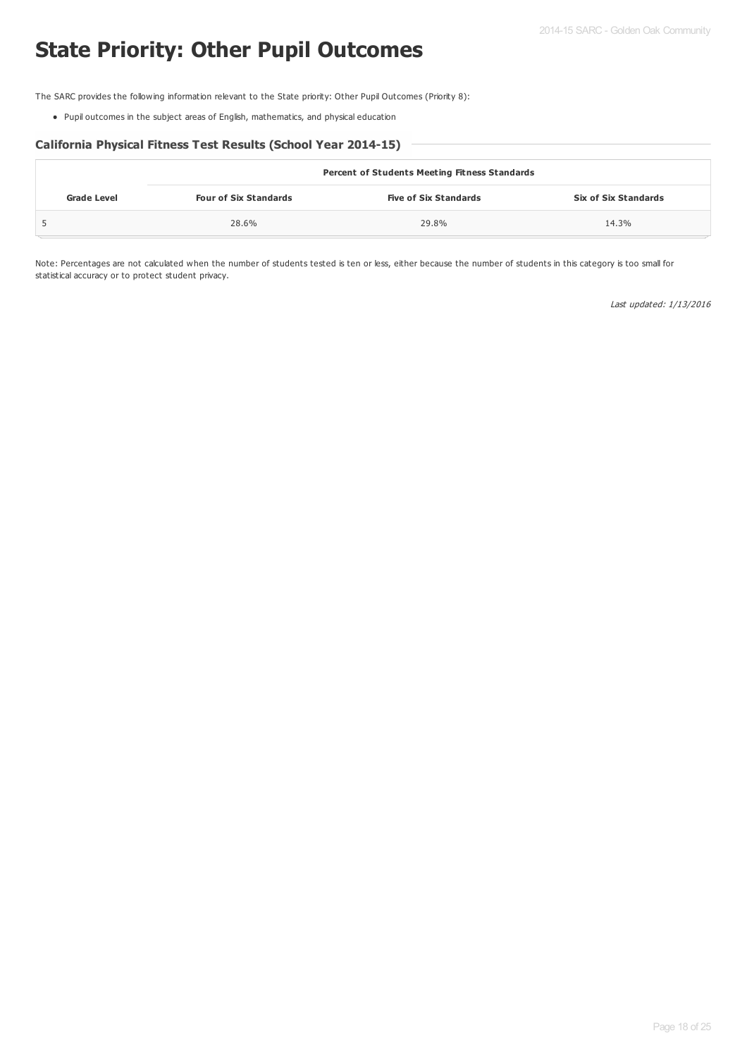# **State Priority: Other Pupil Outcomes**

The SARC provides the following information relevant to the State priority: Other Pupil Outcomes (Priority 8):

Pupil outcomes in the subject areas of English, mathematics, and physical education

#### **California Physical Fitness Test Results (School Year 2014-15)**

|                    | <b>Percent of Students Meeting Fitness Standards</b> |                              |                             |  |  |  |  |  |  |  |
|--------------------|------------------------------------------------------|------------------------------|-----------------------------|--|--|--|--|--|--|--|
| <b>Grade Level</b> | <b>Four of Six Standards</b>                         | <b>Five of Six Standards</b> | <b>Six of Six Standards</b> |  |  |  |  |  |  |  |
|                    | 28.6%                                                | 29.8%                        | 14.3%                       |  |  |  |  |  |  |  |

Note: Percentages are not calculated when the number of students tested is ten or less, either because the number of students in this category is too small for statistical accuracy or to protect student privacy.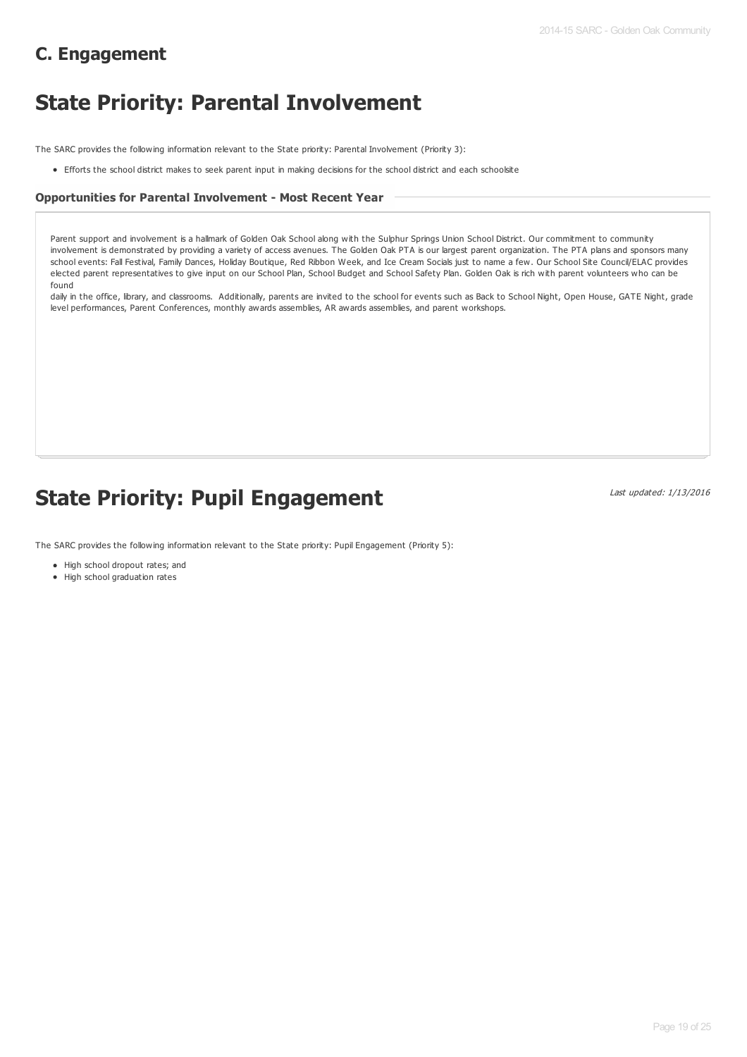# **C. Engagement**

# **State Priority: Parental Involvement**

The SARC provides the following information relevant to the State priority: Parental Involvement (Priority 3):

Efforts the school district makes to seek parent input in making decisions for the school district and each schoolsite

#### **Opportunities for Parental Involvement - Most Recent Year**

Parent support and involvement is a hallmark of Golden Oak School along with the Sulphur Springs Union School District. Our commitment to community involvement is demonstrated by providing a variety of access avenues. The Golden Oak PTA is our largest parent organization. The PTA plans and sponsors many school events: Fall Festival, Family Dances, Holiday Boutique, Red Ribbon Week, and Ice Cream Socials just to name a few. Our School Site Council/ELAC provides elected parent representatives to give input on our School Plan, School Budget and School Safety Plan. Golden Oak is rich with parent volunteers who can be found

daily in the office, library, and classrooms. Additionally, parents are invited to the school for events such as Back to School Night, Open House, GATE Night, grade level performances, Parent Conferences, monthly awards assemblies, AR awards assemblies, and parent workshops.

# **State Priority: Pupil Engagement**

Last updated: 1/13/2016

The SARC provides the following information relevant to the State priority: Pupil Engagement (Priority 5):

- High school dropout rates; and
- High school graduation rates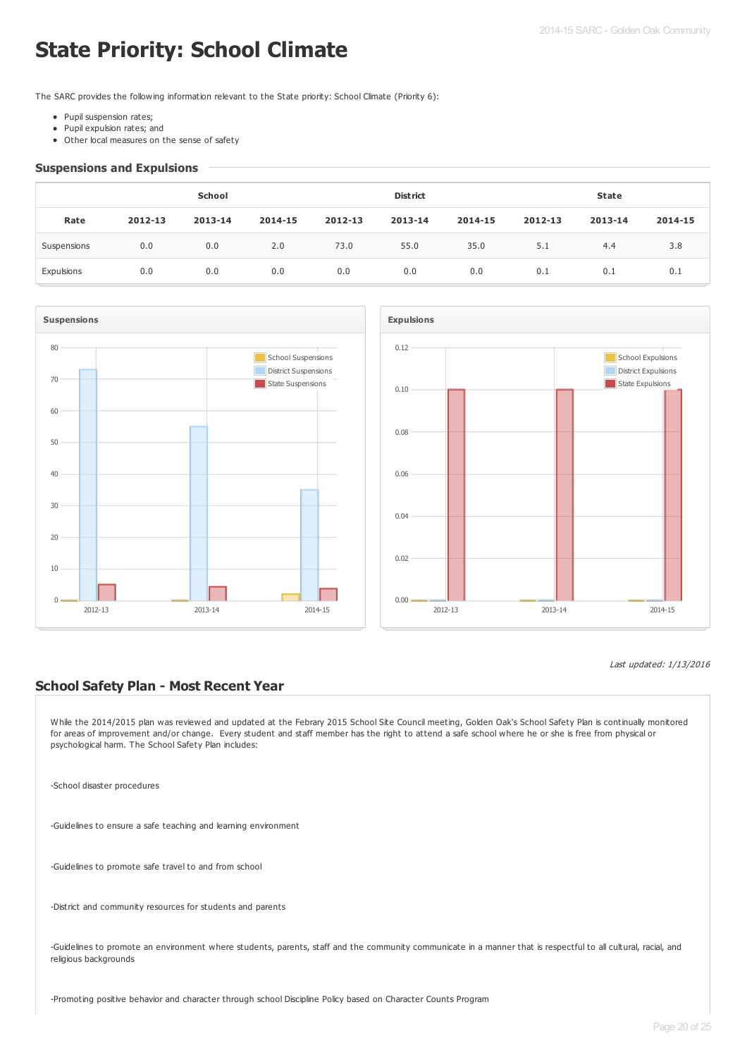# **State Priority: School Climate**

The SARC provides the following information relevant to the State priority: School Climate (Priority 6):

- Pupil suspension rates;
- Pupil expulsion rates; and  $\bullet$
- Other local measures on the sense of safety

#### **Suspensions and Expulsions**

|             |         | School  |         |         | <b>District</b> |         | <b>State</b> |         |         |  |
|-------------|---------|---------|---------|---------|-----------------|---------|--------------|---------|---------|--|
| Rate        | 2012-13 | 2013-14 | 2014-15 | 2012-13 | 2013-14         | 2014-15 | 2012-13      | 2013-14 | 2014-15 |  |
| Suspensions | 0.0     | 0.0     | 2.0     | 73.0    | 55.0            | 35.0    | 5.1          | 4.4     | 3.8     |  |
| Expulsions  | 0.0     | 0.0     | 0.0     | 0.0     | 0.0             | 0.0     | 0.1          | 0.1     | 0.1     |  |





#### Last updated: 1/13/2016

### **School Safety Plan - Most Recent Year**

While the 2014/2015 plan was reviewed and updated at the Febrary 2015 School Site Council meeting, Golden Oak's School Safety Plan is continually monitored for areas of improvement and/or change. Every student and staff member has the right to attend a safe school where he or she is free from physical or psychological harm. The School Safety Plan includes:

-School disaster procedures

-Guidelines to ensure a safe teaching and learning environment

-Guidelines to promote safe travel to and from school

-District and community resources for students and parents

-Guidelines to promote an environment where students, parents, staff and the community communicate in a manner that is respectful to all cultural, racial, and religious backgrounds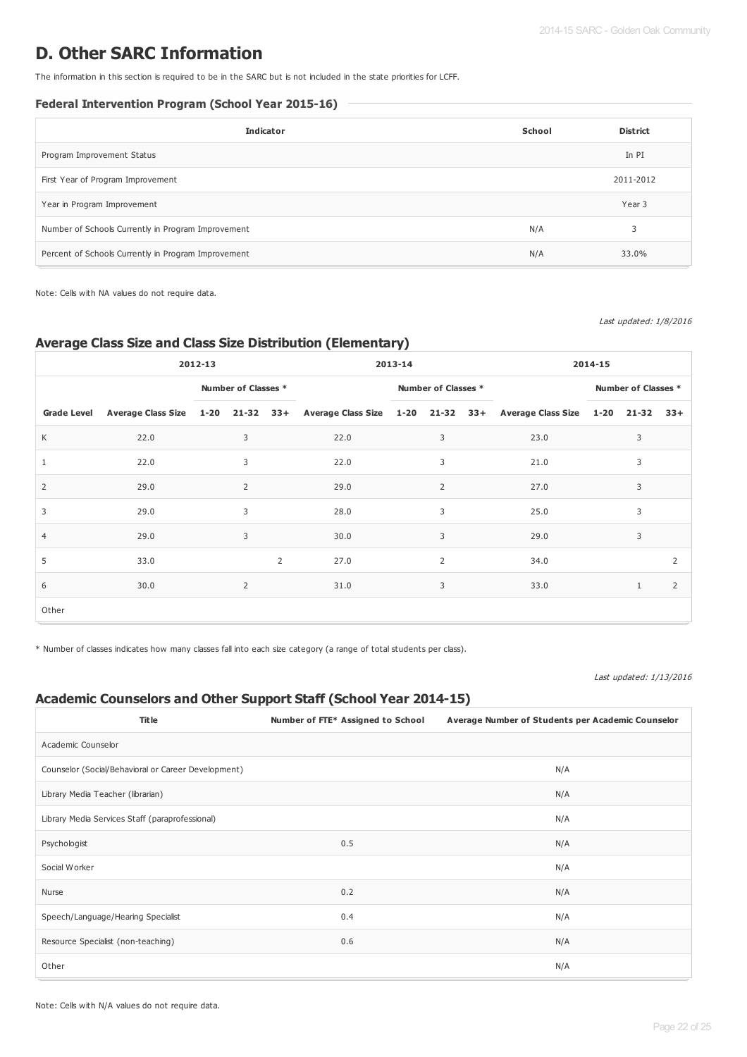# **D. Other SARC Information**

The information in this section is required to be in the SARC but is not included in the state priorities for LCFF.

#### **Federal Intervention Program (School Year 2015-16)**

| <b>Indicator</b>                                    | School | <b>District</b> |
|-----------------------------------------------------|--------|-----------------|
| Program Improvement Status                          |        | In PI           |
| First Year of Program Improvement                   |        | 2011-2012       |
| Year in Program Improvement                         |        | Year 3          |
| Number of Schools Currently in Program Improvement  | N/A    | 3               |
| Percent of Schools Currently in Program Improvement | N/A    | 33.0%           |

Note: Cells with NA values do not require data.

Last updated: 1/8/2016

# **Average Class Size and Class Size Distribution (Elementary)**

|                    | 2012-13 |                     |                | 2013-14        |                                                                                             |                     | 2014-15        |  |                     |  |       |       |
|--------------------|---------|---------------------|----------------|----------------|---------------------------------------------------------------------------------------------|---------------------|----------------|--|---------------------|--|-------|-------|
|                    |         | Number of Classes * |                |                |                                                                                             | Number of Classes * |                |  | Number of Classes * |  |       |       |
| <b>Grade Level</b> |         |                     |                |                | Average Class Size 1-20 21-32 33+ Average Class Size 1-20 21-32 33+ Average Class Size 1-20 |                     |                |  |                     |  | 21-32 | $33+$ |
| K                  | 22.0    |                     | 3              |                | 22.0                                                                                        |                     | 3              |  | 23.0                |  | 3     |       |
| 1                  | 22.0    |                     | 3              |                | 22.0                                                                                        |                     | 3              |  | 21.0                |  | 3     |       |
| $\overline{2}$     | 29.0    |                     | $\overline{2}$ |                | 29.0                                                                                        |                     | $\overline{2}$ |  | 27.0                |  | 3     |       |
| 3                  | 29.0    |                     | 3              |                | 28.0                                                                                        |                     | 3              |  | 25.0                |  | 3     |       |
| $\overline{4}$     | 29.0    |                     | 3              |                | 30.0                                                                                        |                     | 3              |  | 29.0                |  | 3     |       |
| 5                  | 33.0    |                     |                | $\overline{2}$ | 27.0                                                                                        |                     | $\overline{2}$ |  | 34.0                |  |       | 2     |
| 6                  | 30.0    |                     | $\overline{2}$ |                | 31.0                                                                                        |                     | 3              |  | 33.0                |  | 1     | 2     |
| Other              |         |                     |                |                |                                                                                             |                     |                |  |                     |  |       |       |

\* Number of classes indicates how many classes fall into each size category (a range of total students per class).

Last updated: 1/13/2016

## **Academic Counselors and Other Support Staff (School Year 2014-15)**

| <b>Title</b>                                        | Number of FTE* Assigned to School | Average Number of Students per Academic Counselor |
|-----------------------------------------------------|-----------------------------------|---------------------------------------------------|
| Academic Counselor                                  |                                   |                                                   |
| Counselor (Social/Behavioral or Career Development) |                                   | N/A                                               |
| Library Media Teacher (librarian)                   |                                   | N/A                                               |
| Library Media Services Staff (paraprofessional)     |                                   | N/A                                               |
| Psychologist                                        | 0.5                               | N/A                                               |
| Social Worker                                       |                                   | N/A                                               |
| Nurse                                               | 0.2                               | N/A                                               |
| Speech/Language/Hearing Specialist                  | 0.4                               | N/A                                               |
| Resource Specialist (non-teaching)                  | 0.6                               | N/A                                               |
| Other                                               |                                   | N/A                                               |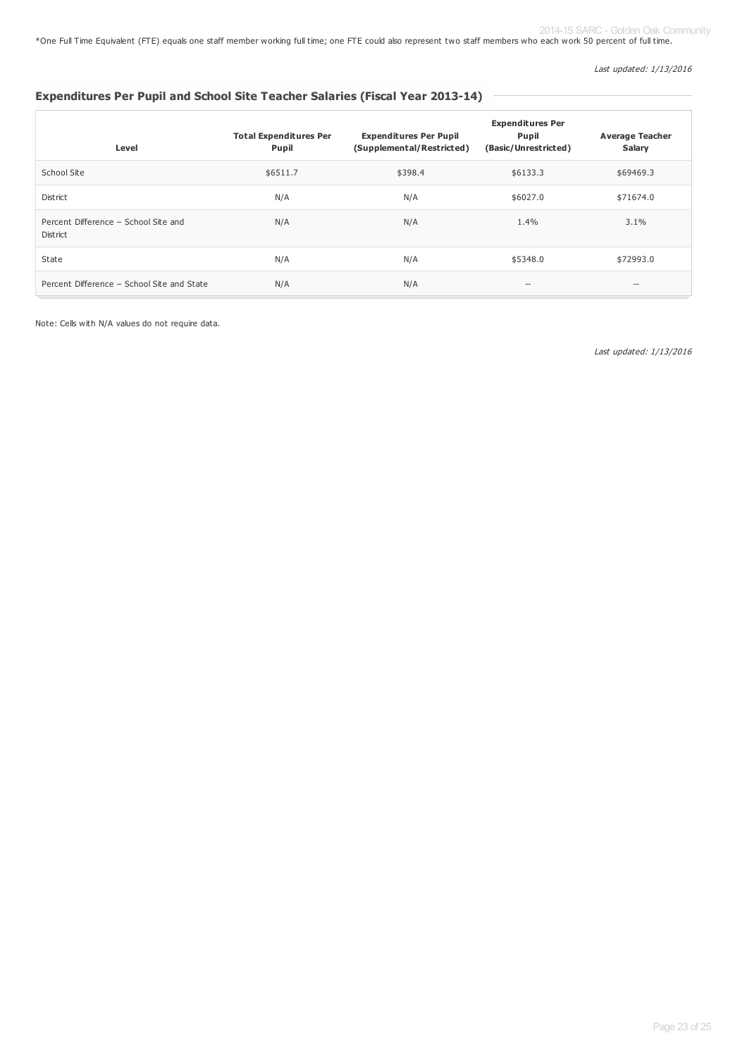\*One Full Time Equivalent (FTE) equals one staff member working full time; one FTE could also represent two staff members who each work 50 percent of full time. 2014-15 SARC - Golden Oak Community

Last updated: 1/13/2016

## **Expenditures Per Pupil and School Site Teacher Salaries (Fiscal Year 2013-14)**

| Level                                            | <b>Total Expenditures Per</b><br>Pupil | <b>Expenditures Per Pupil</b><br>(Supplemental/Restricted) | <b>Expenditures Per</b><br>Pupil<br>(Basic/Unrestricted) | <b>Average Teacher</b><br>Salary |
|--------------------------------------------------|----------------------------------------|------------------------------------------------------------|----------------------------------------------------------|----------------------------------|
| School Site                                      | \$6511.7                               | \$398.4                                                    | \$6133.3                                                 | \$69469.3                        |
| District                                         | N/A                                    | N/A                                                        | \$6027.0                                                 | \$71674.0                        |
| Percent Difference - School Site and<br>District | N/A                                    | N/A                                                        | 1.4%                                                     | 3.1%                             |
| State                                            | N/A                                    | N/A                                                        | \$5348.0                                                 | \$72993.0                        |
| Percent Difference - School Site and State       | N/A                                    | N/A                                                        | --                                                       | $- -$                            |

Note: Cells with N/A values do not require data.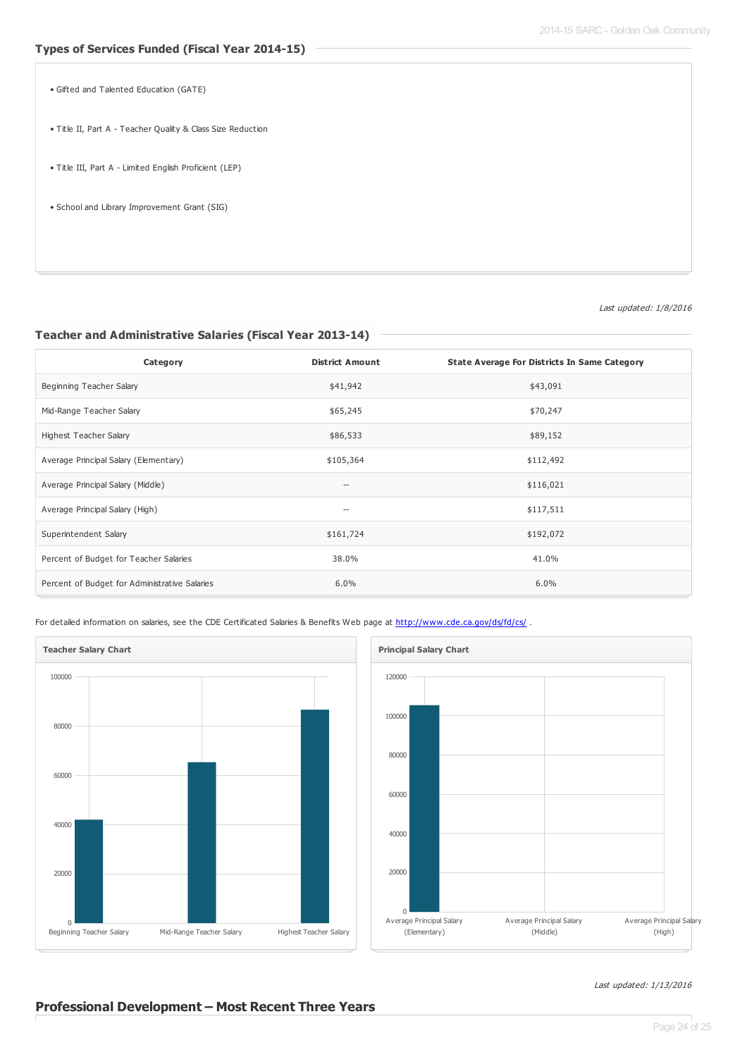- Gifted and Talented Education (GATE)
- Title II, Part A Teacher Quality & Class Size Reduction
- Title III, Part A Limited English Proficient (LEP)
- School and Library Improvement Grant (SIG)

Last updated: 1/8/2016

#### **Teacher and Administrative Salaries (Fiscal Year 2013-14)**

| Category                                      | <b>District Amount</b>              | <b>State Average For Districts In Same Category</b> |
|-----------------------------------------------|-------------------------------------|-----------------------------------------------------|
| Beginning Teacher Salary                      | \$41,942                            | \$43,091                                            |
| Mid-Range Teacher Salary                      | \$65,245                            | \$70,247                                            |
| Highest Teacher Salary                        | \$86,533                            | \$89,152                                            |
| Average Principal Salary (Elementary)         | \$105,364                           | \$112,492                                           |
| Average Principal Salary (Middle)             | $-\!$                               | \$116,021                                           |
| Average Principal Salary (High)               | $\hspace{0.05cm}$ $\hspace{0.05cm}$ | \$117,511                                           |
| Superintendent Salary                         | \$161,724                           | \$192,072                                           |
| Percent of Budget for Teacher Salaries        | 38.0%                               | 41.0%                                               |
| Percent of Budget for Administrative Salaries | 6.0%                                | 6.0%                                                |

For detailed information on salaries, see the CDE Certificated Salaries & Benefits Web page at <http://www.cde.ca.gov/ds/fd/cs/> .